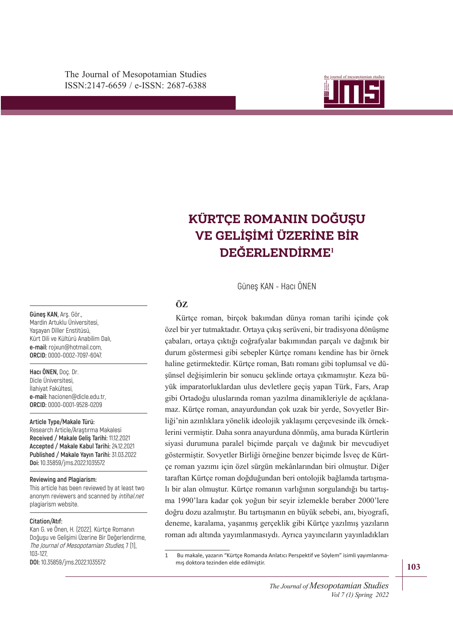

# VE GELİŞİMİ ÜZERİNE BİR **KÜRTÇE ROMANIN DOĞUŞU DEĞERLENDİRME<sup>1</sup>**

Güneş KAN - Hacı ÖNEN

# **ÖZ**

haline getirmektedir. Kürtçe roman, Batı romanı gibi toplumsal ve düşünsel değişimlerin bir sonucu şeklinde ortaya çıkmamıştır. Keza bü-Kürtçe roman, birçok bakımdan dünya roman tarihi içinde çok özel bir yer tutmaktadır. Ortaya çıkış serüveni, bir tradisyona dönüşme çabaları, ortaya çıktığı coğrafyalar bakımından parçalı ve dağınık bir durum göstermesi gibi sebepler Kürtçe romanı kendine has bir örnek yük imparatorluklardan ulus devletlere geçiş yapan Türk, Fars, Arap gibi Ortadoğu uluslarında roman yazılma dinamikleriyle de açıklanamaz. Kürtçe roman, anayurdundan çok uzak bir yerde, Sovyetler Birliği'nin azınlıklara yönelik ideolojik yaklaşımı çerçevesinde ilk örneklerini vermiştir. Daha sonra anayurduna dönmüş, ama burada Kürtlerin siyasi durumuna paralel biçimde parçalı ve dağınık bir mevcudiyet göstermiştir. Sovyetler Birliği örneğine benzer biçimde İsveç de Kürtçe roman yazımı için özel sürgün mekânlarından biri olmuştur. Diğer taraftan Kürtçe roman doğduğundan beri ontolojik bağlamda tartışmalı bir alan olmuştur. Kürtçe romanın varlığının sorgulandığı bu tartışma 1990'lara kadar çok yoğun bir seyir izlemekle beraber 2000'lere doğru dozu azalmıştır. Bu tartışmanın en büyük sebebi, anı, biyografi, deneme, karalama, yaşanmış gerçeklik gibi Kürtçe yazılmış yazıların roman adı altında yayımlanmasıydı. Ayrıca yayıncıların yayınladıkları

1 Bu makale, yazarın "Kürtçe Romanda Anlatıcı Perspektif ve Söylem" isimli yayımlanmamış doktora tezinden elde edilmiştir.

**Güneş KAN,** Arş. Gör., Mardin Artuklu Üniversitesi, Yaşayan Diller Enstitüsü, Kürt Dili ve Kültürü Anabilim Dalı, **e-mail:** rojxun@hotmail.com, **ORCID:** 0000-0002-7097-6047.

**Hacı ÖNEN,** Doç. Dr. Dicle Üniversitesi, İlahiyat Fakültesi, **e-mail:** hacionen@dicle.edu.tr, **ORCID:** 0000-0001-9528-0209

**Article Type/Makale Türü:** 

Research Article/Araştırma Makalesi **Received / Makale Geliş Tarihi:** 11.12.2021 **Accepted / Makale Kabul Tarihi:** 24.12.2021 **Published / Makale Yayın Tarihi:** 31.03.2022 **Doi:** 10.35859/jms.2022.1035572

#### **Reviewing and Plagiarism:**

This article has been reviewed by at least two anonym reviewers and scanned by intihal.net plagiarism website.

#### **Citation/Atıf:**

Kan G. ve Önen, H. (2022). Kürtçe Romanın Doğuşu ve Gelişimi Üzerine Bir Değerlendirme, The Journal of Mesopotamian Studies, 7 (1), 103-127,

**DOI:** 10.35859/jms.2022.1035572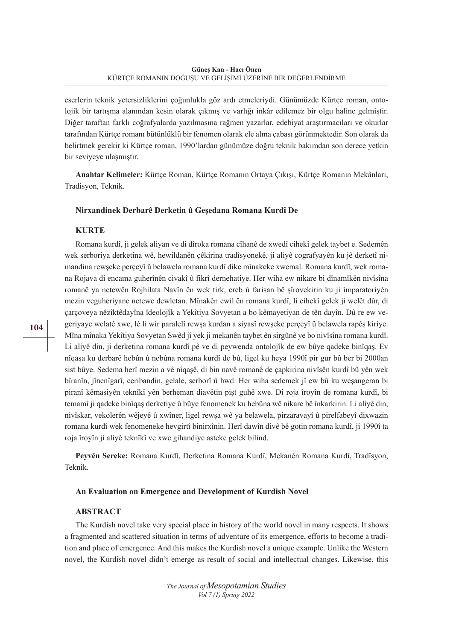eserlerin teknik yetersizliklerini çoğunlukla göz ardı etmeleriydi. Günümüzde Kürtçe roman, ontolojik bir tartışma alanından kesin olarak çıkmış ve varlığı inkâr edilemez bir olgu haline gelmiştir. Diğer taraftan farklı coğrafyalarda yazılmasına rağmen yazarlar, edebiyat araştırmacıları ve okurlar tarafından Kürtçe romanı bütünlüklü bir fenomen olarak ele alma çabası görünmektedir. Son olarak da belirtmek gerekir ki Kürtçe roman, 1990'lardan günümüze doğru teknik bakımdan son derece yetkin bir seviyeye ulaşmıştır.

**Anahtar Kelimeler:** Kürtçe Roman, Kürtçe Romanın Ortaya Çıkışı, Kürtçe Romanın Mekânları, Tradisyon, Teknik.

## **Nirxandinek Derbarê Derketin û Geşedana Romana Kurdî De**

## **KURTE**

Romana kurdî, ji gelek aliyan ve di dîroka romana cîhanê de xwedî cihekî gelek taybet e. Sedemên wek serboriya derketina wê, hewildanên çêkirina tradîsyonekê, ji aliyê cografyayên ku jê derketî nimandina rewşeke perçeyî û belawela romana kurdî dike mînakeke xwemal. Romana kurdî, wek romana Rojava di encama guherînên civakî û fikrî dernehatiye. Her wiha ew nikare bi dînamîkên nivîsîna romanê ya netewên Rojhilata Navîn ên wek tirk, ereb û farisan bê şîrovekirin ku ji împaratoriyên mezin veguheriyane netewe dewletan. Mînakên ewil ên romana kurdî, li cihekî gelek ji welêt dûr, di çarçoveya nêzîktêdayîna îdeolojîk a Yekîtiya Sovyetan a bo kêmayetiyan de tên dayîn. Dû re ew vegeriyaye welatê xwe, lê li wir paralelî rewşa kurdan a siyasî rewşeke perçeyî û belawela rapêş kiriye. Mîna mînaka Yekîtiya Sovyetan Swêd jî yek ji mekanên taybet ên sirgûnê ye bo nivîsîna romana kurdî. Li aliyê din, ji derketina romana kurdî pê ve di peywenda ontolojîk de ew bûye qadeke binîqaş. Ev nîqaşa ku derbarê hebûn û nebûna romana kurdî de bû, ligel ku heya 1990î pir gur bû ber bi 2000an sist bûye. Sedema herî mezin a vê nîqaşê, di bin navê romanê de çapkirina nivîsên kurdî bû yên wek bîranîn, jînenîgarî, ceribandin, gelale, serborî û hwd. Her wiha sedemek jî ew bû ku weşangeran bi piranî kêmasiyên teknîkî yên berheman diavêtin pişt guhê xwe. Di roja îroyîn de romana kurdî, bi temamî ji qadeke binîqaş derketiye û bûye fenomenek ku hebûna wê nikare bê înkarkirin. Li aliyê din, nivîskar, vekolerên wêjeyê û xwîner, ligel rewşa wê ya belawela, pirzaravayî û pirelfabeyî dixwazin romana kurdî wek fenomeneke hevgirtî binirxînin. Herî dawîn divê bê gotin romana kurdî, ji 1990î ta roja îroyîn ji aliyê teknîkî ve xwe gihandiye asteke gelek bilind.

**Peyvên Sereke:** Romana Kurdî, Derketina Romana Kurdî, Mekanên Romana Kurdî, Tradîsyon, Teknîk.

## **An Evaluation on Emergence and Development of Kurdish Novel**

## **ABSTRACT**

The Kurdish novel take very special place in history of the world novel in many respects. It shows a fragmented and scattered situation in terms of adventure of its emergence, efforts to become a tradition and place of emergence. And this makes the Kurdish novel a unique example. Unlike the Western novel, the Kurdish novel didn't emerge as result of social and intellectual changes. Likewise, this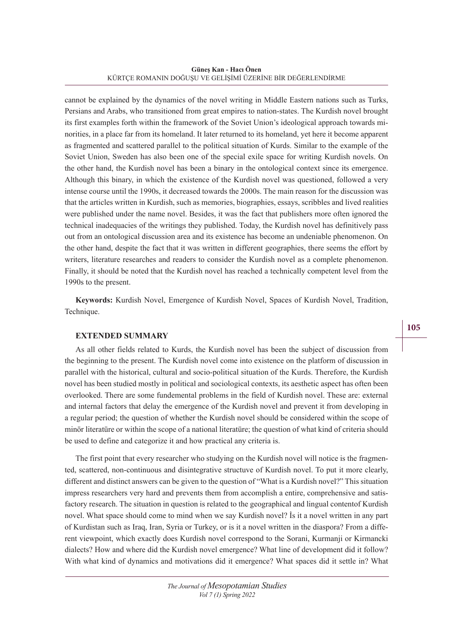**Güneş Kan - Hacı Önen** KÜRTÇE ROMANIN DOĞUŞU VE GELİŞİMİ ÜZERİNE BİR DEĞERLENDİRME

cannot be explained by the dynamics of the novel writing in Middle Eastern nations such as Turks, Persians and Arabs, who transitioned from great empires to nation-states. The Kurdish novel brought its first examples forth within the framework of the Soviet Union's ideological approach towards minorities, in a place far from its homeland. It later returned to its homeland, yet here it become apparent as fragmented and scattered parallel to the political situation of Kurds. Similar to the example of the Soviet Union, Sweden has also been one of the special exile space for writing Kurdish novels. On the other hand, the Kurdish novel has been a binary in the ontological context since its emergence. Although this binary, in which the existence of the Kurdish novel was questioned, followed a very intense course until the 1990s, it decreased towards the 2000s. The main reason for the discussion was that the articles written in Kurdish, such as memories, biographies, essays, scribbles and lived realities were published under the name novel. Besides, it was the fact that publishers more often ignored the technical inadequacies of the writings they published. Today, the Kurdish novel has definitively pass out from an ontological discussion area and its existence has become an undeniable phenomenon. On the other hand, despite the fact that it was written in different geographies, there seems the effort by writers, literature researches and readers to consider the Kurdish novel as a complete phenomenon. Finally, it should be noted that the Kurdish novel has reached a technically competent level from the 1990s to the present.

**Keywords:** Kurdish Novel, Emergence of Kurdish Novel, Spaces of Kurdish Novel, Tradition, Technique.

## **EXTENDED SUMMARY**

As all other fields related to Kurds, the Kurdish novel has been the subject of discussion from the beginning to the present. The Kurdish novel come into existence on the platform of discussion in parallel with the historical, cultural and socio-political situation of the Kurds. Therefore, the Kurdish novel has been studied mostly in political and sociological contexts, its aesthetic aspect has often been overlooked. There are some fundemental problems in the field of Kurdish novel. These are: external and internal factors that delay the emergence of the Kurdish novel and prevent it from developing in a regular period; the question of whether the Kurdish novel should be considered within the scope of minör literatüre or within the scope of a national literatüre; the question of what kind of criteria should be used to define and categorize it and how practical any criteria is.

The first point that every researcher who studying on the Kurdish novel will notice is the fragmented, scattered, non-continuous and disintegrative structuve of Kurdish novel. To put it more clearly, different and distinct answers can be given to the question of "What is a Kurdish novel?" This situation impress researchers very hard and prevents them from accomplish a entire, comprehensive and satisfactory research. The situation in question is related to the geographical and lingual contentof Kurdish novel. What space should come to mind when we say Kurdish novel? İs it a novel written in any part of Kurdistan such as Iraq, Iran, Syria or Turkey, or is it a novel written in the diaspora? From a different viewpoint, which exactly does Kurdish novel correspond to the Sorani, Kurmanji or Kirmancki dialects? How and where did the Kurdish novel emergence? What line of development did it follow? With what kind of dynamics and motivations did it emergence? What spaces did it settle in? What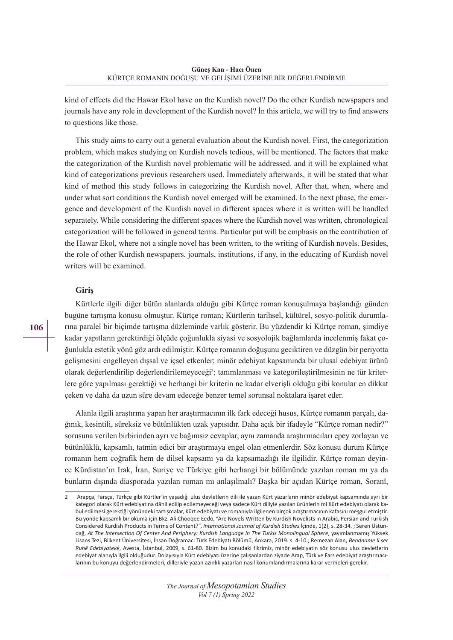kind of effects did the Hawar Ekol have on the Kurdish novel? Do the other Kurdish newspapers and journals have any role in development of the Kurdish novel? İn this article, we will try to find answers to questions like those.

This study aims to carry out a general evaluation about the Kurdish novel. First, the categorization problem, which makes studying on Kurdish novels tedious, will be mentioned. The factors that make the categorization of the Kurdish novel problematic will be addressed. and it will be explained what kind of categorizations previous researchers used. İmmediately afterwards, it will be stated that what kind of method this study follows in categorizing the Kurdish novel. After that, when, where and under what sort conditions the Kurdish novel emerged will be examined. In the next phase, the emergence and development of the Kurdish novel in different spaces where it is written will be handled separately. While considering the different spaces where the Kurdish novel was written, chronological categorization will be followed in general terms. Particular put will be emphasis on the contribution of the Hawar Ekol, where not a single novel has been written, to the writing of Kurdish novels. Besides, the role of other Kurdish newspapers, journals, institutions, if any, in the educating of Kurdish novel writers will be examined.

## **Giriş**

Kürtlerle ilgili diğer bütün alanlarda olduğu gibi Kürtçe roman konuşulmaya başlandığı günden bugüne tartışma konusu olmuştur. Kürtçe roman; Kürtlerin tarihsel, kültürel, sosyo-politik durumlarına paralel bir biçimde tartışma düzleminde varlık gösterir. Bu yüzdendir ki Kürtçe roman, şimdiye kadar yapıtların gerektirdiği ölçüde çoğunlukla siyasi ve sosyolojik bağlamlarda incelenmiş fakat çoğunlukla estetik yönü göz ardı edilmiştir. Kürtçe romanın doğuşunu geciktiren ve düzgün bir periyotta gelişmesini engelleyen dışsal ve içsel etkenler; minör edebiyat kapsamında bir ulusal edebiyat ürünü olarak değerlendirilip değerlendirilemeyeceği<sup>2</sup>; tanımlanması ve kategorileştirilmesinin ne tür kriterlere göre yapılması gerektiği ve herhangi bir kriterin ne kadar elverişli olduğu gibi konular en dikkat çeken ve daha da uzun süre devam edeceğe benzer temel sorunsal noktalara işaret eder.

Alanla ilgili araştırma yapan her araştırmacının ilk fark edeceği husus, Kürtçe romanın parçalı, dağınık, kesintili, süreksiz ve bütünlükten uzak yapısıdır. Daha açık bir ifadeyle "Kürtçe roman nedir?" sorusuna verilen birbirinden ayrı ve bağımsız cevaplar, aynı zamanda araştırmacıları epey zorlayan ve bütünlüklü, kapsamlı, tatmin edici bir araştırmaya engel olan etmenlerdir. Söz konusu durum Kürtçe romanın hem coğrafik hem de dilsel kapsamı ya da kapsamazlığı ile ilgilidir. Kürtçe roman deyince Kürdistan'ın Irak, İran, Suriye ve Türkiye gibi herhangi bir bölümünde yazılan roman mı ya da bunların dışında diasporada yazılan roman mı anlaşılmalı? Başka bir açıdan Kürtçe roman, Soranî,

<sup>2</sup> Arapça, Farsça, Türkçe gibi Kürtler'in yaşadığı ulus devletlerin dili ile yazan Kürt yazarların minör edebiyat kapsamında ayrı bir kategori olarak Kürt edebiyatına dâhil edilip edilemeyeceği veya sadece Kürt diliyle yazılan ürünlerin mi Kürt edebiyatı olarak kabul edilmesi gerektiği yönündeki tartışmalar, Kürt edebiyatı ve romanıyla ilgilenen birçok araştırmacının kafasını meşgul etmiştir. Bu yönde kapsamlı bir okuma için Bkz. Ali Chooqee Eedo, "Are Novels Written by Kurdish Novelists in Arabic, Persian and Turkish Considered Kurdish Products in Terms of Content?", *International Journal of Kurdish Studies* İçinde, 1(2), s. 28-34. ; Seren Üstündağ, *At The Intersection Of Center And Periphery: Kurdish Language In The Turkis Monolingual Sphere*, yayımlanmamış Yüksek Lisans Tezi, Bilkent Üniversitesi, İhsan Doğramacı Türk Edebiyatı Bölümü, Ankara, 2019. s. 4-10.; Remezan Alan, *Bendname li ser Ruhê Edebiyatekê*, Avesta, İstanbul, 2009, s. 61-80. Bizim bu konudaki fikrimiz, minör edebiyatın söz konusu ulus devletlerin edebiyat alanıyla ilgili olduğudur. Dolayısıyla Kürt edebiyatı üzerine çalışanlardan ziyade Arap, Türk ve Fars edebiyat araştırmacılarının bu konuyu değerlendirmeleri, dilleriyle yazan azınlık yazarları nasıl konumlandırmalarına karar vermeleri gerekir.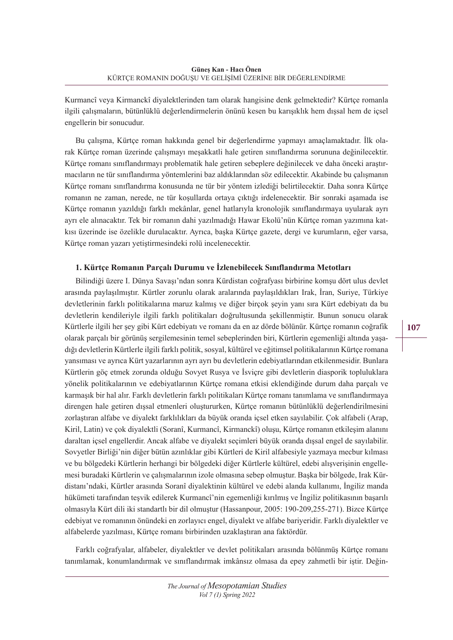Kurmancî veya Kirmanckî diyalektlerinden tam olarak hangisine denk gelmektedir? Kürtçe romanla ilgili çalışmaların, bütünlüklü değerlendirmelerin önünü kesen bu karışıklık hem dışsal hem de içsel engellerin bir sonucudur.

Bu çalışma, Kürtçe roman hakkında genel bir değerlendirme yapmayı amaçlamaktadır. İlk olarak Kürtçe roman üzerinde çalışmayı meşakkatli hale getiren sınıflandırma sorununa değinilecektir. Kürtçe romanı sınıflandırmayı problematik hale getiren sebeplere değinilecek ve daha önceki araştırmacıların ne tür sınıflandırma yöntemlerini baz aldıklarından söz edilecektir. Akabinde bu çalışmanın Kürtçe romanı sınıflandırma konusunda ne tür bir yöntem izlediği belirtilecektir. Daha sonra Kürtçe romanın ne zaman, nerede, ne tür koşullarda ortaya çıktığı irdelenecektir. Bir sonraki aşamada ise Kürtçe romanın yazıldığı farklı mekânlar, genel hatlarıyla kronolojik sınıflandırmaya uyularak ayrı ayrı ele alınacaktır. Tek bir romanın dahi yazılmadığı Hawar Ekolü'nün Kürtçe roman yazımına katkısı üzerinde ise özelikle durulacaktır. Ayrıca, başka Kürtçe gazete, dergi ve kurumların, eğer varsa, Kürtçe roman yazarı yetiştirmesindeki rolü incelenecektir.

# **1. Kürtçe Romanın Parçalı Durumu ve İzlenebilecek Sınıflandırma Metotları**

Bilindiği üzere I. Dünya Savaşı'ndan sonra Kürdistan coğrafyası birbirine komşu dört ulus devlet arasında paylaşılmıştır. Kürtler zorunlu olarak aralarında paylaşıldıkları Irak, İran, Suriye, Türkiye devletlerinin farklı politikalarına maruz kalmış ve diğer birçok şeyin yanı sıra Kürt edebiyatı da bu devletlerin kendileriyle ilgili farklı politikaları doğrultusunda şekillenmiştir. Bunun sonucu olarak Kürtlerle ilgili her şey gibi Kürt edebiyatı ve romanı da en az dörde bölünür. Kürtçe romanın coğrafik olarak parçalı bir görünüş sergilemesinin temel sebeplerinden biri, Kürtlerin egemenliği altında yaşadığı devletlerin Kürtlerle ilgili farklı politik, sosyal, kültürel ve eğitimsel politikalarının Kürtçe romana yansıması ve ayrıca Kürt yazarlarının ayrı ayrı bu devletlerin edebiyatlarından etkilenmesidir. Bunlara Kürtlerin göç etmek zorunda olduğu Sovyet Rusya ve İsviçre gibi devletlerin diasporik topluluklara yönelik politikalarının ve edebiyatlarının Kürtçe romana etkisi eklendiğinde durum daha parçalı ve karmaşık bir hal alır. Farklı devletlerin farklı politikaları Kürtçe romanı tanımlama ve sınıflandırmaya direngen hale getiren dışsal etmenleri oluştururken, Kürtçe romanın bütünlüklü değerlendirilmesini zorlaştıran alfabe ve diyalekt farklılıkları da büyük oranda içsel etken sayılabilir. Çok alfabeli (Arap, Kiril, Latin) ve çok diyalektli (Soranî, Kurmancî, Kirmanckî) oluşu, Kürtçe romanın etkileşim alanını daraltan içsel engellerdir. Ancak alfabe ve diyalekt seçimleri büyük oranda dışsal engel de sayılabilir. Sovyetler Birliği'nin diğer bütün azınlıklar gibi Kürtleri de Kiril alfabesiyle yazmaya mecbur kılması ve bu bölgedeki Kürtlerin herhangi bir bölgedeki diğer Kürtlerle kültürel, edebi alışverişinin engellemesi buradaki Kürtlerin ve çalışmalarının izole olmasına sebep olmuştur. Başka bir bölgede, Irak Kürdistanı'ndaki, Kürtler arasında Soranî diyalektinin kültürel ve edebi alanda kullanımı, İngiliz manda hükümeti tarafından teşvik edilerek Kurmancî'nin egemenliği kırılmış ve İngiliz politikasının başarılı olmasıyla Kürt dili iki standartlı bir dil olmuştur (Hassanpour, 2005: 190-209,255-271). Bizce Kürtçe edebiyat ve romanının önündeki en zorlayıcı engel, diyalekt ve alfabe bariyeridir. Farklı diyalektler ve alfabelerde yazılması, Kürtçe romanı birbirinden uzaklaştıran ana faktördür.

Farklı coğrafyalar, alfabeler, diyalektler ve devlet politikaları arasında bölünmüş Kürtçe romanı tanımlamak, konumlandırmak ve sınıflandırmak imkânsız olmasa da epey zahmetli bir iştir. Değin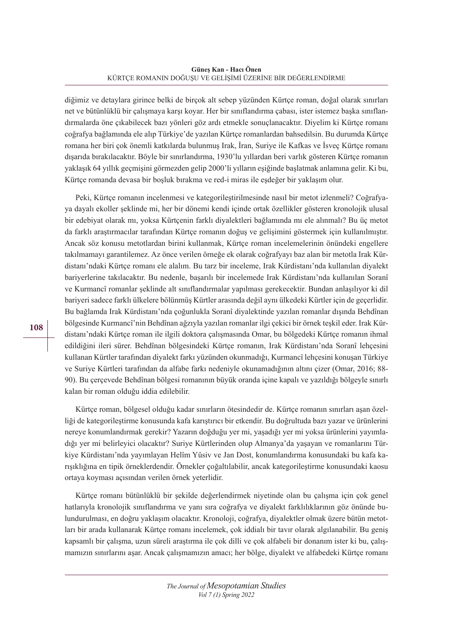diğimiz ve detaylara girince belki de birçok alt sebep yüzünden Kürtçe roman, doğal olarak sınırları net ve bütünlüklü bir çalışmaya karşı koyar. Her bir sınıflandırma çabası, ister istemez başka sınıflandırmalarda öne çıkabilecek bazı yönleri göz ardı etmekle sonuçlanacaktır. Diyelim ki Kürtçe romanı coğrafya bağlamında ele alıp Türkiye'de yazılan Kürtçe romanlardan bahsedilsin. Bu durumda Kürtçe romana her biri çok önemli katkılarda bulunmuş Irak, İran, Suriye ile Kafkas ve İsveç Kürtçe romanı dışarıda bırakılacaktır. Böyle bir sınırlandırma, 1930'lu yıllardan beri varlık gösteren Kürtçe romanın yaklaşık 64 yıllık geçmişini görmezden gelip 2000'li yılların eşiğinde başlatmak anlamına gelir. Ki bu, Kürtçe romanda devasa bir boşluk bırakma ve red-i miras ile eşdeğer bir yaklaşım olur.

Peki, Kürtçe romanın incelenmesi ve kategorileştirilmesinde nasıl bir metot izlenmeli? Coğrafyaya dayalı ekoller şeklinde mi, her bir dönemi kendi içinde ortak özellikler gösteren kronolojik ulusal bir edebiyat olarak mı, yoksa Kürtçenin farklı diyalektleri bağlamında mı ele alınmalı? Bu üç metot da farklı araştırmacılar tarafından Kürtçe romanın doğuş ve gelişimini göstermek için kullanılmıştır. Ancak söz konusu metotlardan birini kullanmak, Kürtçe roman incelemelerinin önündeki engellere takılmamayı garantilemez. Az önce verilen örneğe ek olarak coğrafyayı baz alan bir metotla Irak Kürdistanı'ndaki Kürtçe romanı ele alalım. Bu tarz bir inceleme, Irak Kürdistanı'nda kullanılan diyalekt bariyerlerine takılacaktır. Bu nedenle, başarılı bir incelemede Irak Kürdistanı'nda kullanılan Soranî ve Kurmancî romanlar şeklinde alt sınıflandırmalar yapılması gerekecektir. Bundan anlaşılıyor ki dil bariyeri sadece farklı ülkelere bölünmüş Kürtler arasında değil aynı ülkedeki Kürtler için de geçerlidir. Bu bağlamda Irak Kürdistanı'nda çoğunlukla Soranî diyalektinde yazılan romanlar dışında Behdînan bölgesinde Kurmancî'nin Behdînan ağzıyla yazılan romanlar ilgi çekici bir örnek teşkil eder. Irak Kürdistanı'ndaki Kürtçe roman ile ilgili doktora çalışmasında Omar, bu bölgedeki Kürtçe romanın ihmal edildiğini ileri sürer. Behdînan bölgesindeki Kürtçe romanın, Irak Kürdistanı'nda Soranî lehçesini kullanan Kürtler tarafından diyalekt farkı yüzünden okunmadığı, Kurmancî lehçesini konuşan Türkiye ve Suriye Kürtleri tarafından da alfabe farkı nedeniyle okunamadığının altını çizer (Omar, 2016; 88- 90). Bu çerçevede Behdînan bölgesi romanının büyük oranda içine kapalı ve yazıldığı bölgeyle sınırlı kalan bir roman olduğu iddia edilebilir.

Kürtçe roman, bölgesel olduğu kadar sınırların ötesindedir de. Kürtçe romanın sınırları aşan özelliği de kategorileştirme konusunda kafa karıştırıcı bir etkendir. Bu doğrultuda bazı yazar ve ürünlerini nereye konumlandırmak gerekir? Yazarın doğduğu yer mi, yaşadığı yer mi yoksa ürünlerini yayımladığı yer mi belirleyici olacaktır? Suriye Kürtlerinden olup Almanya'da yaşayan ve romanlarını Türkiye Kürdistanı'nda yayımlayan Helîm Yûsiv ve Jan Dost, konumlandırma konusundaki bu kafa karışıklığına en tipik örneklerdendir. Örnekler çoğaltılabilir, ancak kategorileştirme konusundaki kaosu ortaya koyması açısından verilen örnek yeterlidir.

Kürtçe romanı bütünlüklü bir şekilde değerlendirmek niyetinde olan bu çalışma için çok genel hatlarıyla kronolojik sınıflandırma ve yanı sıra coğrafya ve diyalekt farklılıklarının göz önünde bulundurulması, en doğru yaklaşım olacaktır. Kronoloji, coğrafya, diyalektler olmak üzere bütün metotları bir arada kullanarak Kürtçe romanı incelemek, çok iddialı bir tavır olarak algılanabilir. Bu geniş kapsamlı bir çalışma, uzun süreli araştırma ile çok dilli ve çok alfabeli bir donanım ister ki bu, çalışmamızın sınırlarını aşar. Ancak çalışmamızın amacı; her bölge, diyalekt ve alfabedeki Kürtçe romanı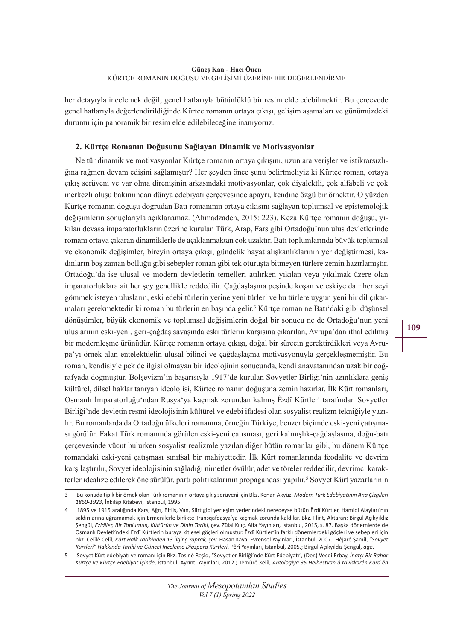her detayıyla incelemek değil, genel hatlarıyla bütünlüklü bir resim elde edebilmektir. Bu çerçevede genel hatlarıyla değerlendirildiğinde Kürtçe romanın ortaya çıkışı, gelişim aşamaları ve günümüzdeki durumu için panoramik bir resim elde edilebileceğine inanıyoruz.

## **2. Kürtçe Romanın Doğuşunu Sağlayan Dinamik ve Motivasyonlar**

Ne tür dinamik ve motivasyonlar Kürtçe romanın ortaya çıkışını, uzun ara verişler ve istikrarsızlığına rağmen devam edişini sağlamıştır? Her şeyden önce şunu belirtmeliyiz ki Kürtçe roman, ortaya çıkış serüveni ve var olma direnişinin arkasındaki motivasyonlar, çok diyalektli, çok alfabeli ve çok merkezli oluşu bakımından dünya edebiyatı çerçevesinde apayrı, kendine özgü bir örnektir. O yüzden Kürtçe romanın doğuşu doğrudan Batı romanının ortaya çıkışını sağlayan toplumsal ve epistemolojik değişimlerin sonuçlarıyla açıklanamaz. (Ahmadzadeh, 2015: 223). Keza Kürtçe romanın doğuşu, yıkılan devasa imparatorlukların üzerine kurulan Türk, Arap, Fars gibi Ortadoğu'nun ulus devletlerinde romanı ortaya çıkaran dinamiklerle de açıklanmaktan çok uzaktır. Batı toplumlarında büyük toplumsal ve ekonomik değişimler, bireyin ortaya çıkışı, gündelik hayat alışkanlıklarının yer değiştirmesi, kadınların boş zaman bolluğu gibi sebepler roman gibi tek oturuşta bitmeyen türlere zemin hazırlamıştır. Ortadoğu'da ise ulusal ve modern devletlerin temelleri atılırken yıkılan veya yıkılmak üzere olan imparatorluklara ait her şey genellikle reddedilir. Çağdaşlaşma peşinde koşan ve eskiye dair her şeyi gömmek isteyen ulusların, eski edebi türlerin yerine yeni türleri ve bu türlere uygun yeni bir dil çıkarmaları gerekmektedir ki roman bu türlerin en başında gelir.3 Kürtçe roman ne Batı'daki gibi düşünsel dönüşümler, büyük ekonomik ve toplumsal değişimlerin doğal bir sonucu ne de Ortadoğu'nun yeni uluslarının eski-yeni, geri-çağdaş savaşında eski türlerin karşısına çıkarılan, Avrupa'dan ithal edilmiş bir modernleşme ürünüdür. Kürtçe romanın ortaya çıkışı, doğal bir sürecin gerektirdikleri veya Avrupa'yı örnek alan entelektüelin ulusal bilinci ve çağdaşlaşma motivasyonuyla gerçekleşmemiştir. Bu roman, kendisiyle pek de ilgisi olmayan bir ideolojinin sonucunda, kendi anavatanından uzak bir coğrafyada doğmuştur. Bolşevizm'in başarısıyla 1917'de kurulan Sovyetler Birliği'nin azınlıklara geniş kültürel, dilsel haklar tanıyan ideolojisi, Kürtçe romanın doğuşuna zemin hazırlar. İlk Kürt romanları, Osmanlı İmparatorluğu'ndan Rusya'ya kaçmak zorundan kalmış Êzdî Kürtler<sup>4</sup> tarafından Sovyetler Birliği'nde devletin resmi ideolojisinin kültürel ve edebi ifadesi olan sosyalist realizm tekniğiyle yazılır. Bu romanlarda da Ortadoğu ülkeleri romanına, örneğin Türkiye, benzer biçimde eski-yeni çatışması görülür. Fakat Türk romanında görülen eski-yeni çatışması, geri kalmışlık-çağdaşlaşma, doğu-batı çerçevesinde vücut bulurken sosyalist realizmle yazılan diğer bütün romanlar gibi, bu dönem Kürtçe romandaki eski-yeni çatışması sınıfsal bir mahiyettedir. İlk Kürt romanlarında feodalite ve devrim karşılaştırılır, Sovyet ideolojisinin sağladığı nimetler övülür, adet ve töreler reddedilir, devrimci karakterler idealize edilerek öne sürülür, parti politikalarının propagandası yapılır.<sup>5</sup> Sovyet Kürt yazarlarının

<sup>3</sup> Bu konuda tipik bir örnek olan Türk romanının ortaya çıkışserüveni için Bkz. Kenan Akyüz, *Modern Türk Edebiyatının Ana Çizgileri 1860-1923*, İnkılâp Kitabevi, İstanbul, 1995.

<sup>4</sup> 1895 ve 1915 aralığında Kars, Ağrı, Bitlis, Van, Siirt gibi yerleşim yerlerindeki neredeyse bütün Êzdî Kürtler, Hamidi Alayları'nın saldırılarına uğramamak için Ermenilerle birlikte Transqafqasya'ya kaçmak zorunda kaldılar. Bkz. Flint, Aktaran: Birgül Açıkyıldız Şengül, *Ezidiler, Bir Toplumun, Kültürün ve Dinin Tarihi*, çev. Zülal Kılıç, Alfa Yayınları, İstanbul, 2015, s. 87. Başka dönemlerde de Osmanlı Devleti'ndeki Ezdî Kürtlerin buraya kitlesel göçleri olmuştur. Êzdî Kürtler'in farklı dönemlerdeki göçleri ve sebepleri için bkz. Celîlê Celîl, *Kürt Halk Tarihinden 13 İlginç Yaprak,* çev. Hasan Kaya, Evrensel Yayınları, İstanbul, 2007.; Hêjarê Şamîl, *"Sovyet Kürtleri" Hakkında Tarihi ve Güncel İnceleme Diaspora Kürtleri*, Pêrî Yayınları, İstanbul, 2005.; Birgül Açıkyıldız Şengül, *age*.

<sup>5</sup> Sovyet Kürt edebiyatı ve romanı için Bkz. Tosinê Reşîd, "Sovyetler Birliği'nde Kürt Edebiyatı", (Der.) Vecdi Erbay, *İnatçı Bir Bahar Kürtçe ve Kürtçe Edebiyat İçinde*, İstanbul, Ayrıntı Yayınları, 2012.; Têmûrê Xelîl, *Antologiya 35 Helbestvan û Nivîskarên Kurd ên*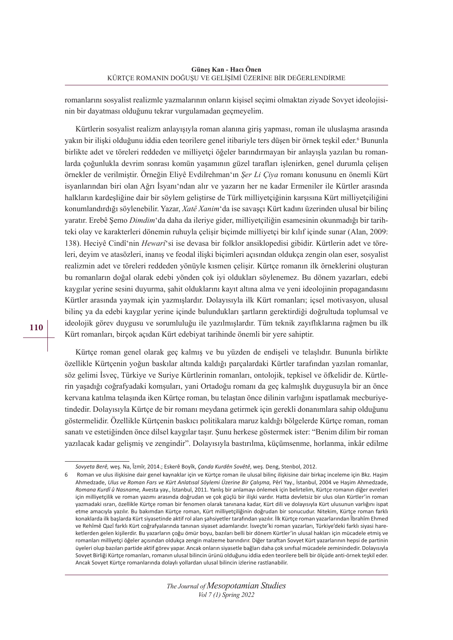romanlarını sosyalist realizmle yazmalarının onların kişisel seçimi olmaktan ziyade Sovyet ideolojisinin bir dayatması olduğunu tekrar vurgulamadan geçmeyelim.

Kürtlerin sosyalist realizm anlayışıyla roman alanına giriş yapması, roman ile uluslaşma arasında yakın bir ilişki olduğunu iddia eden teorilere genel itibariyle ters düşen bir örnek teşkil eder.<sup>6</sup> Bununla birlikte adet ve töreleri reddeden ve milliyetçi öğeler barındırmayan bir anlayışla yazılan bu romanlarda çoğunlukla devrim sonrası komün yaşamının güzel tarafları işlenirken, genel durumla çelişen örnekler de verilmiştir. Örneğin Eliyê Evdilrehman'ın *Şer Li Çiya* romanı konusunu en önemli Kürt isyanlarından biri olan Ağrı İsyanı'ndan alır ve yazarın her ne kadar Ermeniler ile Kürtler arasında halkların kardeşliğine dair bir söylem geliştirse de Türk milliyetçiğinin karşısına Kürt milliyetçiliğini konumlandırdığı söylenebilir. Yazar, *Xatê Xanim*'da ise savaşçı Kürt kadını üzerinden ulusal bir bilinç yaratır. Erebê Şemo *Dimdim*'da daha da ileriye gider, milliyetçiliğin esamesinin okunmadığı bir tarihteki olay ve karakterleri dönemin ruhuyla çelişir biçimde milliyetçi bir kılıf içinde sunar (Alan, 2009: 138). Heciyê Cindî'nin *Hewarî*'si ise devasa bir folklor ansiklopedisi gibidir. Kürtlerin adet ve töreleri, deyim ve atasözleri, inanış ve feodal ilişki biçimleri açısından oldukça zengin olan eser, sosyalist realizmin adet ve töreleri reddeden yönüyle kısmen çelişir. Kürtçe romanın ilk örneklerini oluşturan bu romanların doğal olarak edebi yönden çok iyi oldukları söylenemez. Bu dönem yazarları, edebi kaygılar yerine sesini duyurma, şahit olduklarını kayıt altına alma ve yeni ideolojinin propagandasını Kürtler arasında yaymak için yazmışlardır. Dolayısıyla ilk Kürt romanları; içsel motivasyon, ulusal bilinç ya da edebi kaygılar yerine içinde bulundukları şartların gerektirdiği doğrultuda toplumsal ve ideolojik görev duygusu ve sorumluluğu ile yazılmışlardır. Tüm teknik zayıflıklarına rağmen bu ilk Kürt romanları, birçok açıdan Kürt edebiyat tarihinde önemli bir yere sahiptir.

Kürtçe roman genel olarak geç kalmış ve bu yüzden de endişeli ve telaşlıdır. Bununla birlikte özellikle Kürtçenin yoğun baskılar altında kaldığı parçalardaki Kürtler tarafından yazılan romanlar, söz gelimi İsveç, Türkiye ve Suriye Kürtlerinin romanları, ontolojik, tepkisel ve öfkelidir de. Kürtlerin yaşadığı coğrafyadaki komşuları, yani Ortadoğu romanı da geç kalmışlık duygusuyla bir an önce kervana katılma telaşında iken Kürtçe roman, bu telaştan önce dilinin varlığını ispatlamak mecburiyetindedir. Dolayısıyla Kürtçe de bir romanı meydana getirmek için gerekli donanımlara sahip olduğunu göstermelidir. Özellikle Kürtçenin baskıcı politikalara maruz kaldığı bölgelerde Kürtçe roman, roman sanatı ve estetiğinden önce dilsel kaygılar taşır. Şunu herkese göstermek ister: "Benim dilim bir roman yazılacak kadar gelişmiş ve zengindir". Dolayısıyla bastırılma, küçümsenme, horlanma, inkâr edilme

*Sovyeta Berê,* weş. Na, Îzmîr, 2014.; Eskerê Boyîk, *Çanda Kurdên Sovêtê*, weş. Deng, Stenbol, 2012.

<sup>6</sup> Roman ve ulus ilişkisine dair genel kaynaklar için ve Kürtçe roman ile ulusal bilinç ilişkisine dair birkaç inceleme için Bkz. Haşim Ahmedzade, *Ulus ve Roman Fars ve Kürt Anlatısal Söylemi Üzerine Bir Çalışma,* Pêrî Yay., İstanbul, 2004 ve Haşim Ahmedzade, *Romana Kurdî û Nasname,* Avesta yay., İstanbul, 2011. Yanlış bir anlamayı önlemek için belirtelim, Kürtçe romanın diğer evreleri için milliyetçilik ve roman yazımı arasında doğrudan ve çok güçlü bir ilişki vardır. Hatta devletsiz bir ulus olan Kürtler'in roman yazmadaki ısrarı, özellikle Kürtçe roman bir fenomen olarak tanınana kadar, Kürt dili ve dolayısıyla Kürt ulusunun varlığını ispat etme amacıyla yazılır. Bu bakımdan Kürtçe roman, Kürt milliyetçiliğinin doğrudan bir sonucudur. Nitekim, Kürtçe roman farklı konaklarda ilk başlarda Kürtsiyasetinde aktif rol alan şahsiyetler tarafından yazılır. İlk Kürtçe roman yazarlarından Îbrahîm Ehmed ve Rehîmê Qazî farklı Kürt coğrafyalarında tanınan siyaset adamlarıdır. İsveçte'ki roman yazarları, Türkiye'deki farklı siyasi hareketlerden gelen kişilerdir. Bu yazarların çoğu ömür boyu, bazıları belli bir dönem Kürtler'in ulusal hakları için mücadele etmiş ve romanları milliyetçi öğeler açısından oldukça zengin malzeme barındırır. Diğer taraftan Sovyet Kürt yazarlarının hepsi de partinin üyeleri olup bazıları partide aktif görev yapar. Ancak onların siyasetle bağları daha çok sınıfsal mücadele zeminindedir. Dolayısıyla Sovyet Birliği Kürtçe romanları, romanın ulusal bilincin ürünü olduğunu iddia eden teorilere belli bir ölçüde anti-örnek teşkil eder. Ancak Sovyet Kürtçe romanlarında dolaylı yollardan ulusal bilincin izlerine rastlanabilir.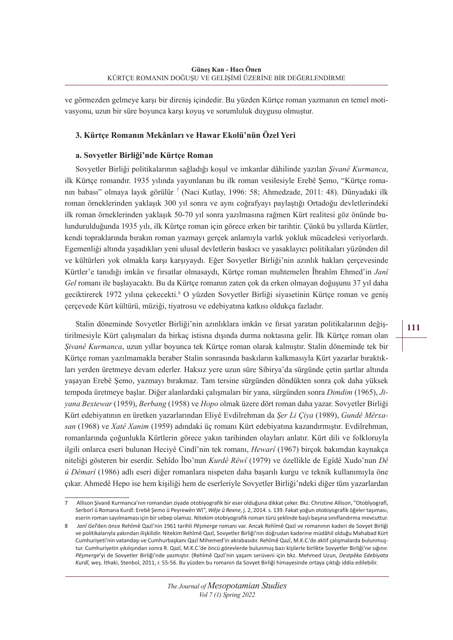ve görmezden gelmeye karşı bir direniş içindedir. Bu yüzden Kürtçe roman yazmanın en temel motivasyonu, uzun bir süre boyunca karşı koyuş ve sorumluluk duygusu olmuştur.

#### **3. Kürtçe Romanın Mekânları ve Hawar Ekolü'nün Özel Yeri**

#### **a. Sovyetler Birliği'nde Kürtçe Roman**

Sovyetler Birliği politikalarının sağladığı koşul ve imkanlar dâhilinde yazılan *Şivanê Kurmanca*, ilk Kürtçe romandır. 1935 yılında yayımlanan bu ilk roman vesilesiyle Erebê Şemo, "Kürtçe romanın babası" olmaya layık görülür 7 (Naci Kutlay, 1996: 58; Ahmedzade, 2011: 48). Dünyadaki ilk roman örneklerinden yaklaşık 300 yıl sonra ve aynı coğrafyayı paylaştığı Ortadoğu devletlerindeki ilk roman örneklerinden yaklaşık 50-70 yıl sonra yazılmasına rağmen Kürt realitesi göz önünde bulundurulduğunda 1935 yılı, ilk Kürtçe roman için görece erken bir tarihtir. Çünkü bu yıllarda Kürtler, kendi topraklarında bırakın roman yazmayı gerçek anlamıyla varlık yokluk mücadelesi veriyorlardı. Egemenliği altında yaşadıkları yeni ulusal devletlerin baskıcı ve yasaklayıcı politikaları yüzünden dil ve kültürleri yok olmakla karşı karşıyaydı. Eğer Sovyetler Birliği'nin azınlık hakları çerçevesinde Kürtler'e tanıdığı imkân ve fırsatlar olmasaydı, Kürtçe roman muhtemelen Îbrahîm Ehmed'in *Janî Gel* romanı ile başlayacaktı. Bu da Kürtçe romanın zaten çok da erken olmayan doğuşunu 37 yıl daha geciktirerek 1972 yılına çekecekti.8 O yüzden Sovyetler Birliği siyasetinin Kürtçe roman ve geniş çerçevede Kürt kültürü, müziği, tiyatrosu ve edebiyatına katkısı oldukça fazladır.

Stalin döneminde Sovyetler Birliği'nin azınlıklara imkân ve fırsat yaratan politikalarının değiştirilmesiyle Kürt çalışmaları da birkaç istisna dışında durma noktasına gelir. İlk Kürtçe roman olan *Şivanê Kurmanca*, uzun yıllar boyunca tek Kürtçe roman olarak kalmıştır. Stalin döneminde tek bir Kürtçe roman yazılmamakla beraber Stalin sonrasında baskıların kalkmasıyla Kürt yazarlar bıraktıkları yerden üretmeye devam ederler. Haksız yere uzun süre Sibirya'da sürgünde çetin şartlar altında yaşayan Erebê Şemo, yazmayı bırakmaz. Tam tersine sürgünden döndükten sonra çok daha yüksek tempoda üretmeye başlar. Diğer alanlardaki çalışmaları bir yana, sürgünden sonra *Dimdim* (1965), *Jiyana Bextewar* (1959), *Berbang* (1958) ve *Hopo* olmak üzere dört roman daha yazar. Sovyetler Birliği Kürt edebiyatının en üretken yazarlarından Eliyê Evdilrehman da *Şer Li Çiya* (1989), *Gundê Mêrxasan* (1968) ve *Xatê Xanim* (1959) adındaki üç romanı Kürt edebiyatına kazandırmıştır. Evdilrehman, romanlarında çoğunlukla Kürtlerin görece yakın tarihinden olayları anlatır. Kürt dili ve folkloruyla ilgili onlarca eseri bulunan Heciyê Cindî'nin tek romanı, *Hewarî* (1967) birçok bakımdan kaynakça niteliği gösteren bir eserdir. Sehîdo Îbo'nun *Kurdê Rêwî* (1979) ve özellikle de Egîdê Xudo'nun *Dê û Dêmarî* (1986) adlı eseri diğer romanlara nispeten daha başarılı kurgu ve teknik kullanımıyla öne çıkar. Ahmedê Hepo ise hem kişiliği hem de eserleriyle Sovyetler Birliği'ndeki diğer tüm yazarlardan

<sup>7</sup> Allison Şivanê Kurmanca'nın romandan ziyade otobiyografik bir eser olduğuna dikkat çeker. Bkz. Christine Allison, "Otobîyografî, Serborî û Romana Kurdî: Erebê Şemo û Peyrewên Wî", *Wêje û Rexne*, j. 2, 2014.s. 139. Fakat yoğun otobiyografik öğeler taşıması, eserin roman sayılmaması için birsebep olamaz. Nitekim otobiyografik roman türü şeklinde başlı başına sınıflandırma mevcuttur.

<sup>8</sup> *Janî Gel*'den önce Rehîmê Qazî'nin 1961 tarihli *Pêşmerge* romanı var. Ancak Rehîmê Qazî ve romanının kaderi de Sovyet Birliği ve politikalarıyla yakından ilişkilidir. Nitekim Rehîmê Qazî, Sovyetler Birliği'nin doğrudan kaderine müdâhil olduğu Mahabad Kürt Cumhuriyeti'nin vatandaşı ve Cumhurbaşkanı Qazî Mihemed'in akrabasıdır. Rehîmê Qazî, M.K.C.'de aktif çalışmalarda bulunmuştur. Cumhuriyetin yıkılışından sonra R. Qazî, M.K.C.'de öncü görevlerde bulunmuş bazı kişilerle birlikte Sovyetler Birliği'ne sığınır. *Pêşmerge*'yi de Sovyetler Birliği'nde yazmıştır. (Rehîmê Qazî'nin yaşam serüveni için bkz. Mehmed Uzun, *Destpêka Edebiyata Kurdî*, weş. İthaki, Stenbol, 2011, r. 55-56. Bu yüzden bu romanın da Sovyet Birliği himayesinde ortaya çıktığı iddia edilebilir.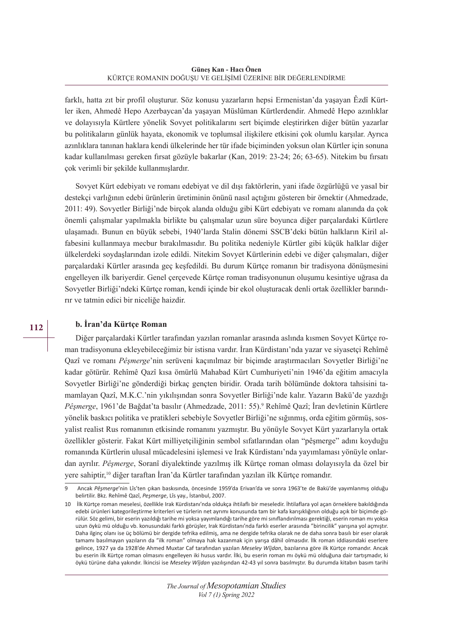farklı, hatta zıt bir profil oluşturur. Söz konusu yazarların hepsi Ermenistan'da yaşayan Êzdî Kürtler iken, Ahmedê Hepo Azerbaycan'da yaşayan Müslüman Kürtlerdendir. Ahmedê Hepo azınlıklar ve dolayısıyla Kürtlere yönelik Sovyet politikalarını sert biçimde eleştirirken diğer bütün yazarlar bu politikaların günlük hayata, ekonomik ve toplumsal ilişkilere etkisini çok olumlu karşılar. Ayrıca azınlıklara tanınan haklara kendi ülkelerinde her tür ifade biçiminden yoksun olan Kürtler için sonuna kadar kullanılması gereken fırsat gözüyle bakarlar (Kan, 2019: 23-24; 26; 63-65). Nitekim bu fırsatı çok verimli bir şekilde kullanmışlardır.

Sovyet Kürt edebiyatı ve romanı edebiyat ve dil dışı faktörlerin, yani ifade özgürlüğü ve yasal bir destekçi varlığının edebi ürünlerin üretiminin önünü nasıl açtığını gösteren bir örnektir (Ahmedzade, 2011: 49). Sovyetler Birliği'nde birçok alanda olduğu gibi Kürt edebiyatı ve romanı alanında da çok önemli çalışmalar yapılmakla birlikte bu çalışmalar uzun süre boyunca diğer parçalardaki Kürtlere ulaşamadı. Bunun en büyük sebebi, 1940'larda Stalin dönemi SSCB'deki bütün halkların Kiril alfabesini kullanmaya mecbur bırakılmasıdır. Bu politika nedeniyle Kürtler gibi küçük halklar diğer ülkelerdeki soydaşlarından izole edildi. Nitekim Sovyet Kürtlerinin edebi ve diğer çalışmaları, diğer parçalardaki Kürtler arasında geç keşfedildi. Bu durum Kürtçe romanın bir tradisyona dönüşmesini engelleyen ilk bariyerdir. Genel çerçevede Kürtçe roman tradisyonunun oluşumu kesintiye uğrasa da Sovyetler Birliği'ndeki Kürtçe roman, kendi içinde bir ekol oluşturacak denli ortak özellikler barındırır ve tatmin edici bir niceliğe haizdir.

## **b. İran'da Kürtçe Roman**

Diğer parçalardaki Kürtler tarafından yazılan romanlar arasında aslında kısmen Sovyet Kürtçe roman tradisyonuna ekleyebileceğimiz bir istisna vardır. İran Kürdistanı'nda yazar ve siyasetçi Rehîmê Qazî ve romanı *Pêşmerge*'nin serüveni kaçınılmaz bir biçimde araştırmacıları Sovyetler Birliği'ne kadar götürür. Rehîmê Qazî kısa ömürlü Mahabad Kürt Cumhuriyeti'nin 1946'da eğitim amacıyla Sovyetler Birliği'ne gönderdiği birkaç gençten biridir. Orada tarih bölümünde doktora tahsisini tamamlayan Qazî, M.K.C.'nin yıkılışından sonra Sovyetler Birliği'nde kalır. Yazarın Bakü'de yazdığı *Pêşmerge*, 1961'de Bağdat'ta basılır (Ahmedzade, 2011: 55).9 Rehîmê Qazî; İran devletinin Kürtlere yönelik baskıcı politika ve pratikleri sebebiyle Sovyetler Birliği'ne sığınmış, orda eğitim görmüş, sosyalist realist Rus romanının etkisinde romanını yazmıştır. Bu yönüyle Sovyet Kürt yazarlarıyla ortak özellikler gösterir. Fakat Kürt milliyetçiliğinin sembol sıfatlarından olan "pêşmerge" adını koyduğu romanında Kürtlerin ulusal mücadelesini işlemesi ve Irak Kürdistanı'nda yayımlaması yönüyle onlardan ayrılır. *Pêşmerge*, Soranî diyalektinde yazılmış ilk Kürtçe roman olması dolayısıyla da özel bir yere sahiptir,10 diğer taraftan İran'da Kürtler tarafından yazılan ilk Kürtçe romandır.

**112**

<sup>9</sup> Ancak *Pêşmerge*'nin Lîs'ten çıkan baskısında, öncesinde 1959'da Erivan'da ve sonra 1963'te de Bakü'de yayımlanmış olduğu belirtilir. Bkz. Rehîmê Qazî, *Peşmerge*, Lîs yay., İstanbul, 2007.

<sup>10</sup> İlk Kürtçe roman meselesi, özellikle Irak Kürdistanı'nda oldukça ihtilaflı bir meseledir. İhtilaflara yol açan örneklere bakıldığında edebi ürünleri kategorileştirme kriterleri ve türlerin net ayrımı konusunda tam bir kafa karışıklığının olduğu açık bir biçimde görülür. Söz gelimi, bir eserin yazıldığı tarihe mi yoksa yayımlandığı tarihe göre mi sınıflandırılması gerektiği, eserin roman mı yoksa uzun öykü mü olduğu vb. konusundaki farklı görüşler, Irak Kürdistanı'nda farklı eserler arasında "birincilik" yarışına yol açmıştır. Daha ilginç olanı ise üç bölümü bir dergide tefrika edilmiş, ama ne dergide tefrika olarak ne de daha sonra basılı bir eser olarak tamamı basılmayan yazıların da "ilk roman" olmaya hak kazanmak için yarışa dâhil olmasıdır. İlk roman iddiasındaki eserlere gelince, 1927 ya da 1928'de Ahmed Muxtar Caf tarafından yazılan *Meseley Wîjdan*, bazılarına göre ilk Kürtçe romandır. Ancak bu eserin ilk Kürtçe roman olmasını engelleyen iki husus vardır. İlki, bu eserin roman mı öykü mü olduğuna dair tartışmadır, ki öykü türüne daha yakındır. İkincisi ise *Meseley Wîjdan* yazılışından 42-43 yıl sonra basılmıştır. Bu durumda kitabın basım tarihi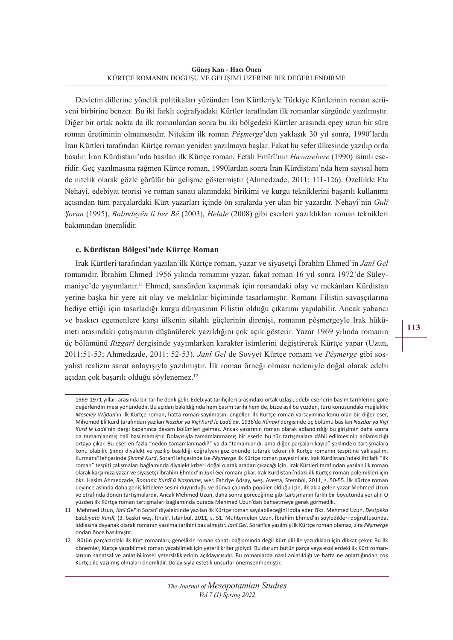Devletin dillerine yönelik politikaları yüzünden İran Kürtleriyle Türkiye Kürtlerinin roman serüveni birbirine benzer. Bu iki farklı coğrafyadaki Kürtler tarafından ilk romanlar sürgünde yazılmıştır. Diğer bir ortak nokta da ilk romanlardan sonra bu iki bölgedeki Kürtler arasında epey uzun bir süre roman üretiminin olmamasıdır. Nitekim ilk roman *Pêşmerge*'den yaklaşık 30 yıl sonra, 1990'larda İran Kürtleri tarafından Kürtçe roman yeniden yazılmaya başlar. Fakat bu sefer ülkesinde yazılıp orda basılır. İran Kürdistanı'nda basılan ilk Kürtçe roman, Fetah Emîrî'nin *Hawarebere* (1990) isimli eseridir. Geç yazılmasına rağmen Kürtçe roman, 1990lardan sonra İran Kürdistanı'nda hem sayısal hem de nitelik olarak gözle görülür bir gelişme göstermiştir (Ahmedzade, 2011: 111-126). Özellikle Eta Nehayî, edebiyat teorisi ve roman sanatı alanındaki birikimi ve kurgu tekniklerini başarılı kullanımı açısından tüm parçalardaki Kürt yazarları içinde ön sıralarda yer alan bir yazardır. Nehayî'nin *Gulî Şoran* (1995), *Balindeyên li ber Bê* (2003), *Helale* (2008) gibi eserleri yazıldıkları roman teknikleri bakımından önemlidir.

## **c. Kürdistan Bölgesi'nde Kürtçe Roman**

Irak Kürtleri tarafından yazılan ilk Kürtçe roman, yazar ve siyasetçi Îbrahîm Ehmed'in *Janî Gel* romanıdır. Îbrahîm Ehmed 1956 yılında romanını yazar, fakat roman 16 yıl sonra 1972'de Süleymaniye'de yayımlanır.11 Ehmed, sansürden kaçınmak için romandaki olay ve mekânları Kürdistan yerine başka bir yere ait olay ve mekânlar biçiminde tasarlamıştır. Romanı Filistin savaşçılarına hediye ettiği için tasarladığı kurgu dünyasının Filistin olduğu çıkarımı yapılabilir. Ancak yabancı ve baskıcı egemenlere karşı ülkenin silahlı güçlerinin direnişi, romanın pêşmergeyle Irak hükümeti arasındaki çatışmanın düşünülerek yazıldığını çok açık gösterir. Yazar 1969 yılında romanın üç bölümünü *Rizgarî* dergisinde yayımlarken karakter isimlerini değiştirerek Kürtçe yapar (Uzun, 2011:51-53; Ahmedzade, 2011: 52-53). *Janî Gel* de Sovyet Kürtçe romanı ve *Pêşmerge* gibi sosyalist realizm sanat anlayışıyla yazılmıştır. İlk roman örneği olması nedeniyle doğal olarak edebi açıdan çok başarılı olduğu söylenemez.12

<sup>1969-1971</sup> yılları arasında bir tarihe denk gelir. Edebiyat tarihçileri arasındaki ortak uzlaşı, edebi eserlerin basım tarihlerine göre değerlendirilmesi yönündedir. Bu açıdan bakıldığında hem basım tarihi hem de, bizce asıl bu yüzden, türü konusundaki muğlaklık *Meseley Wîjdan*'ın ilk Kürtçe roman, hatta roman sayılmasını engeller. İlk Kürtçe roman varsayımına konu olan bir diğer eser, Mihemed Elî Kurd tarafından yazılan *Nazdar ya Kiçî Kurd le Ladê*'dir. 1936'da *Rûnakî* dergisinde üç bölümü basılan *Nazdar ya Kiçî Kurd le Ladê*'nin dergi kapanınca devam bölümleri gelmez. Ancak yazarının roman olarak adlandırdığı bu girişimin daha sonra da tamamlanmış hali basılmamıştır. Dolayısıyla tamamlanmamış bir eserin bu tür tartışmalara dâhil edilmesinin anlamsızlığı ortaya çıkar. Bu eser en fazla "neden tamamlanmadı?" ya da "tamamlandı, ama diğer parçaları kayıp" şeklindeki tartışmalara konu olabilir. Şimdi diyalekt ve yazılıp basıldığı coğrafyayı göz önünde tutarak tekrar ilk Kürtçe romanın tespitine yaklaşalım. Kurmancî lehçesinde *Şivanê Kurd*, Soranî lehçesinde ise *Pêşmerge* ilk Kürtçe roman payesini alır. Irak Kürdistanı'ndaki ihtilaflı "ilk roman" tespiti çalışmaları bağlamında diyalekt kriteri doğal olarak aradan çıkacağı için, Irak Kürtleri tarafından yazılan ilk roman olarak karşımıza yazar ve siyasetçi Îbrahîm Ehmed'in *Janî Gel* romanı çıkar. Irak Kürdistanı'ndaki ilk Kürtçe roman polemikleri için bkz. Haşim Ahmedzade, *Romana Kurdî û Nasname*, wer. Fahriye Adsay, weş. Avesta, Stembol, 2011, s. 50-55. İlk Kürtçe roman deyince aslında daha geniş kitlelere sesini duyurduğu ve dünya çapında popüler olduğu için, ilk akla gelen yazar Mehmed Uzun ve etrafında dönen tartışmalardır. Ancak Mehmed Uzun, daha sonra göreceğimiz gibi tartışmanın farklı bir boyutunda yer alır. O yüzden ilk Kürtçe roman tartışmaları bağlamında burada Mehmed Uzun'dan bahsetmeye gerek görmedik.

<sup>11</sup> Mehmed Uzun, *Janî Gel*'in Soranî diyalektinde yazılan ilk Kürtçe roman sayılabileceğini iddia eder. Bkz. Mehmed Uzun, *Destpêka Edebiyata Kurdî,* (3. baskı) weş. Îthakî, İstanbul, 2011, s. 51. Muhtemelen Uzun, Îbrahîm Ehmed'in söyledikleri doğrultusunda, iddiasına dayanak olarak romanın yazılma tarihini baz almıştır. *Janî Gel*, Soranîce yazılmış ilk Kürtçe roman olamaz, zira *Pêşmerge* ondan önce basılmıştır.

<sup>12</sup> Bütün parçalardaki ilk Kürt romanları, genellikle roman sanatı bağlamında değil Kürt dili ile yazıldıkları için dikkat çeker. Bu ilk dönemler, Kürtçe yazabilmek roman yazabilmek için yeterli kriter gibiydi. Bu durum bütün parça veya ekollerdeki ilk Kürt romanlarının sanatsal ve anlatıbilimsel yetersizliklerinin açıklayıcısıdır. Bu romanlarda nasıl anlatıldığı ve hatta ne anlattığından çok Kürtçe ile yazılmış olmaları önemlidir. Dolayısıyla estetik unsurlar önemsenmemiştir.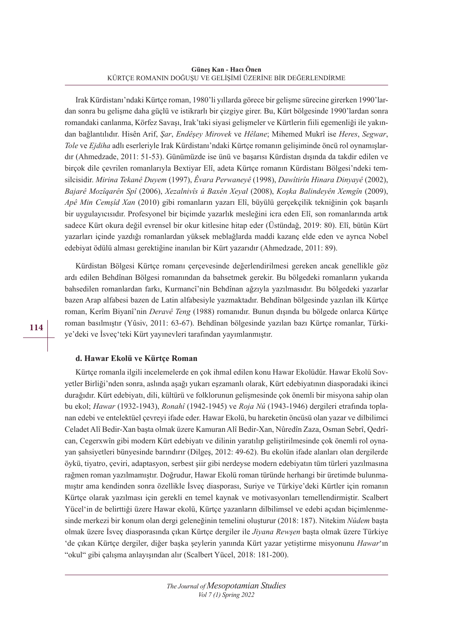Irak Kürdistanı'ndaki Kürtçe roman, 1980'li yıllarda görece bir gelişme sürecine girerken 1990'lardan sonra bu gelişme daha güçlü ve istikrarlı bir çizgiye girer. Bu, Kürt bölgesinde 1990'lardan sonra romandaki canlanma, Körfez Savaşı, Irak'taki siyasi gelişmeler ve Kürtlerin fiili egemenliği ile yakından bağlantılıdır. Hisên Arif, *Şar*, *Endêşey Mirovek* ve *Hêlane*; Mihemed Mukrî ise *Heres*, *Segwar*, *Tole* ve *Ejdiha* adlı eserleriyle Irak Kürdistanı'ndaki Kürtçe romanın gelişiminde öncü rol oynamışlardır (Ahmedzade, 2011: 51-53). Günümüzde ise ünü ve başarısı Kürdistan dışında da takdir edilen ve birçok dile çevrilen romanlarıyla Bextiyar Elî, adeta Kürtçe romanın Kürdistanı Bölgesi'ndeki temsilcisidir. *Mirina Tekanê Duyem* (1997), *Êvara Perwaneyê* (1998), *Dawîtirîn Hinara Dinyayê* (2002), *Bajarê Mozîqarên Spî* (2006), *Xezalnivîs û Baxên Xeyal* (2008), *Koşka Balindeyên Xemgîn* (2009), *Apê Min Cemşîd Xan* (2010) gibi romanların yazarı Elî, büyülü gerçekçilik tekniğinin çok başarılı bir uygulayıcısıdır. Profesyonel bir biçimde yazarlık mesleğini icra eden Elî, son romanlarında artık sadece Kürt okura değil evrensel bir okur kitlesine hitap eder (Üstündağ, 2019: 80). Elî, bütün Kürt yazarları içinde yazdığı romanlardan yüksek meblağlarda maddi kazanç elde eden ve ayrıca Nobel edebiyat ödülü alması gerektiğine inanılan bir Kürt yazarıdır (Ahmedzade, 2011: 89).

Kürdistan Bölgesi Kürtçe romanı çerçevesinde değerlendirilmesi gereken ancak genellikle göz ardı edilen Behdînan Bölgesi romanından da bahsetmek gerekir. Bu bölgedeki romanların yukarıda bahsedilen romanlardan farkı, Kurmancî'nin Behdînan ağzıyla yazılmasıdır. Bu bölgedeki yazarlar bazen Arap alfabesi bazen de Latin alfabesiyle yazmaktadır. Behdînan bölgesinde yazılan ilk Kürtçe roman, Kerîm Biyanî'nin *Deravê Teng* (1988) romanıdır. Bunun dışında bu bölgede onlarca Kürtçe roman basılmıştır (Yûsiv, 2011: 63-67). Behdînan bölgesinde yazılan bazı Kürtçe romanlar, Türkiye'deki ve İsveç'teki Kürt yayınevleri tarafından yayımlanmıştır.

#### **d. Hawar Ekolü ve Kürtçe Roman**

Kürtçe romanla ilgili incelemelerde en çok ihmal edilen konu Hawar Ekolüdür. Hawar Ekolü Sovyetler Birliği'nden sonra, aslında aşağı yukarı eşzamanlı olarak, Kürt edebiyatının diasporadaki ikinci durağıdır. Kürt edebiyatı, dili, kültürü ve folklorunun gelişmesinde çok önemli bir misyona sahip olan bu ekol; *Hawar* (1932-1943), *Ronahî* (1942-1945) ve *Roja Nû* (1943-1946) dergileri etrafında toplanan edebi ve entelektüel çevreyi ifade eder. Hawar Ekolü, bu hareketin öncüsü olan yazar ve dilbilimci Celadet Alî Bedir-Xan başta olmak üzere Kamuran Alî Bedir-Xan, Nûredîn Zaza, Osman Sebrî, Qedrîcan, Cegerxwîn gibi modern Kürt edebiyatı ve dilinin yaratılıp geliştirilmesinde çok önemli rol oynayan şahsiyetleri bünyesinde barındırır (Dilgeş, 2012: 49-62). Bu ekolün ifade alanları olan dergilerde öykü, tiyatro, çeviri, adaptasyon, serbest şiir gibi nerdeyse modern edebiyatın tüm türleri yazılmasına rağmen roman yazılmamıştır. Doğrudur, Hawar Ekolü roman türünde herhangi bir üretimde bulunmamıştır ama kendinden sonra özellikle İsveç diasporası, Suriye ve Türkiye'deki Kürtler için romanın Kürtçe olarak yazılması için gerekli en temel kaynak ve motivasyonları temellendirmiştir. Scalbert Yücel'in de belirttiği üzere Hawar ekolü, Kürtçe yazanların dilbilimsel ve edebi açıdan biçimlenmesinde merkezi bir konum olan dergi geleneğinin temelini oluşturur (2018: 187). Nitekim *Nûdem* başta olmak üzere İsveç diasporasında çıkan Kürtçe dergiler ile *Jiyana Rewşen* başta olmak üzere Türkiye 'de çıkan Kürtçe dergiler, diğer başka şeylerin yanında Kürt yazar yetiştirme misyonunu *Hawar*'ın "okul" gibi çalışma anlayışından alır (Scalbert Yücel, 2018: 181-200).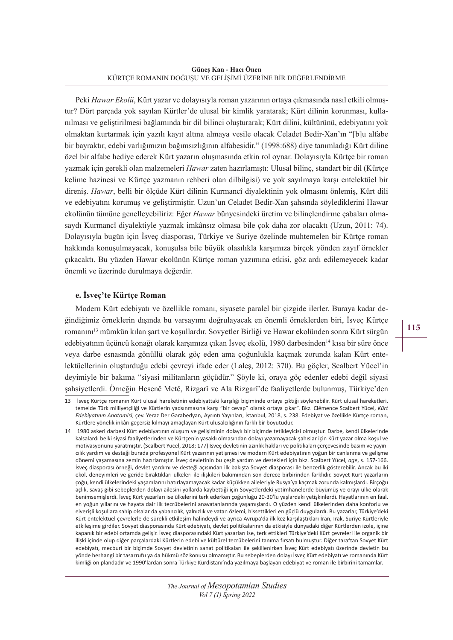Peki *Hawar Ekolü*, Kürt yazar ve dolayısıyla roman yazarının ortaya çıkmasında nasıl etkili olmuştur? Dört parçada yok sayılan Kürtler'de ulusal bir kimlik yaratarak; Kürt dilinin korunması, kullanılması ve geliştirilmesi bağlamında bir dil bilinci oluşturarak; Kürt dilini, kültürünü, edebiyatını yok olmaktan kurtarmak için yazılı kayıt altına almaya vesile olacak Celadet Bedir-Xan'ın "[b]u alfabe bir bayraktır, edebi varlığımızın bağımsızlığının alfabesidir." (1998:688) diye tanımladığı Kürt diline özel bir alfabe hediye ederek Kürt yazarın oluşmasında etkin rol oynar. Dolayısıyla Kürtçe bir roman yazmak için gerekli olan malzemeleri *Hawar* zaten hazırlamıştı: Ulusal bilinç, standart bir dil (Kürtçe kelime hazinesi ve Kürtçe yazmanın rehberi olan dilbilgisi) ve yok sayılmaya karşı entelektüel bir direniş. *Hawar*, belli bir ölçüde Kürt dilinin Kurmancî diyalektinin yok olmasını önlemiş, Kürt dili ve edebiyatını korumuş ve geliştirmiştir. Uzun'un Celadet Bedir-Xan şahsında söylediklerini Hawar ekolünün tümüne genelleyebiliriz: Eğer *Hawar* bünyesindeki üretim ve bilinçlendirme çabaları olmasaydı Kurmancî diyalektiyle yazmak imkânsız olmasa bile çok daha zor olacaktı (Uzun, 2011: 74). Dolayısıyla bugün için İsveç diasporası, Türkiye ve Suriye özelinde muhtemelen bir Kürtçe roman hakkında konuşulmayacak, konuşulsa bile büyük olasılıkla karşımıza birçok yönden zayıf örnekler çıkacaktı. Bu yüzden Hawar ekolünün Kürtçe roman yazımına etkisi, göz ardı edilemeyecek kadar önemli ve üzerinde durulmaya değerdir.

## **e. İsveç'te Kürtçe Roman**

Modern Kürt edebiyatı ve özellikle romanı, siyasete paralel bir çizgide ilerler. Buraya kadar değindiğimiz örneklerin dışında bu varsayımı doğrulayacak en önemli örneklerden biri, İsveç Kürtçe romanını13 mümkün kılan şart ve koşullardır. Sovyetler Birliği ve Hawar ekolünden sonra Kürt sürgün edebiyatının üçüncü konağı olarak karşımıza çıkan İsveç ekolü, 1980 darbesinden14 kısa bir süre önce veya darbe esnasında gönüllü olarak göç eden ama çoğunlukla kaçmak zorunda kalan Kürt entelektüellerinin oluşturduğu edebi çevreyi ifade eder (Laleş, 2012: 370). Bu göçler, Scalbert Yücel'in deyimiyle bir bakıma "siyasi militanların göçüdür." Şöyle ki, oraya göç edenler edebi değil siyasi şahsiyetlerdi. Örneğin Hesenê Metê, Rizgarî ve Ala Rizgarî'de faaliyetlerde bulunmuş, Türkiye'den

<sup>13</sup> İsveç Kürtçe romanın Kürt ulusal hareketinin edebiyattaki karşılığı biçiminde ortaya çıktığı söylenebilir. Kürt ulusal hareketleri, temelde Türk milliyetçiliği ve Kürtlerin yadsınmasına karşı "bir cevap" olarak ortaya çıkar". Bkz. Clêmence Scalbert Yücel, *Kürt Edebiyatının Anatomisi*, çev. Yeraz Der Garabedyan, Ayrıntı Yayınları, İstanbul, 2018, s. 238. Edebiyat ve özellikle Kürtçe roman, Kürtlere yönelik inkârı geçersiz kılmayı amaçlayan Kürt ulusalcılığının farklı bir boyutudur.

<sup>14</sup> 1980 askeri darbesi Kürt edebiyatının oluşum ve gelişiminin dolaylı bir biçimde tetikleyicisi olmuştur. Darbe, kendi ülkelerinde kalsalardı belki siyasi faaliyetlerinden ve Kürtçenin yasaklı olmasından dolayı yazamayacak şahıslar için Kürt yazar olma koşul ve motivasyonunu yaratmıştır. (Scalbert Yücel, 2018; 177) İsveç devletinin azınlık hakları ve politikaları çerçevesinde basım ve yayıncılık yardım ve desteği burada profesyonel Kürt yazarının yetişmesi ve modern Kürt edebiyatının yoğun bir canlanma ve gelişme dönemi yaşamasına zemin hazırlamıştır. İsveç devletinin bu çeşit yardım ve destekleri için bkz. Scalbert Yücel, *age*, s. 157-166. İsveç diasporası örneği, devlet yardımı ve desteği açısından ilk bakışta Sovyet diasporası ile benzerlik gösterebilir. Ancak bu iki ekol, deneyimleri ve geride bıraktıkları ülkeleri ile ilişkileri bakımından son derece birbirinden farklıdır. Sovyet Kürt yazarların çoğu, kendi ülkelerindeki yaşamlarını hatırlayamayacak kadar küçükken aileleriyle Rusya'ya kaçmak zorunda kalmışlardı. Birçoğu açlık, savaş gibi sebeplerden dolayı ailesini yollarda kaybettiği için Sovyetlerdeki yetimhanelerde büyümüş ve orayı ülke olarak benimsemişlerdi. İsveç Kürt yazarları ise ülkelerini terk ederken çoğunluğu 20-30'lu yaşlardaki yetişkinlerdi. Hayatlarının en faal, en yoğun yıllarını ve hayata dair ilk tecrübelerini anavatanlarında yaşamışlardı. O yüzden kendi ülkelerinden daha konforlu ve elverişli koşullara sahip olsalar da yabancılık, yalnızlık ve vatan özlemi, hissettikleri en güçlü duygulardı. Bu yazarlar, Türkiye'deki Kürt entelektüel çevrelerle de sürekli etkileşim halindeydi ve ayrıca Avrupa'da ilk kez karşılaştıkları İran, Irak, Suriye Kürtleriyle etkileşime girdiler. Sovyet diasporasında Kürt edebiyatı, devlet politikalarının da etkisiyle dünyadaki diğer Kürtlerden izole, içine kapanık bir edebi ortamda gelişir. İsveç diasporasındaki Kürt yazarları ise, terk ettikleri Türkiye'deki Kürt çevreleri ile organik bir ilişki içinde olup diğer parçalardaki Kürtlerin edebi ve kültürel tecrübelerini tanıma fırsatı bulmuştur. Diğer taraftan Sovyet Kürt edebiyatı, mecburi bir biçimde Sovyet devletinin sanat politikaları ile şekillenirken İsveç Kürt edebiyatı üzerinde devletin bu yönde herhangi bir tasarrufu ya da hükmü söz konusu olmamıştır. Bu sebeplerden dolayı İsveç Kürt edebiyatı ve romanında Kürt kimliği ön plandadır ve 1990'lardan sonra Türkiye Kürdistanı'nda yazılmaya başlayan edebiyat ve roman ile birbirini tamamlar.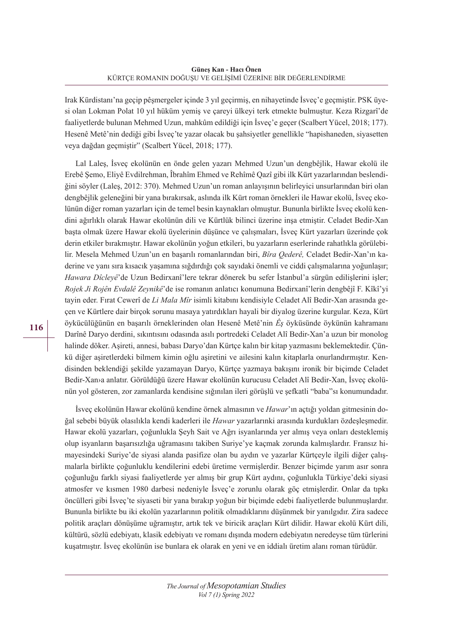Irak Kürdistanı'na geçip pêşmergeler içinde 3 yıl geçirmiş, en nihayetinde İsveç'e geçmiştir. PSK üyesi olan Lokman Polat 10 yıl hüküm yemiş ve çareyi ülkeyi terk etmekte bulmuştur. Keza Rizgarî'de faaliyetlerde bulunan Mehmed Uzun, mahkûm edildiği için İsveç'e geçer (Scalbert Yücel, 2018; 177). Hesenê Metê'nin dediği gibi İsveç'te yazar olacak bu şahsiyetler genellikle "hapishaneden, siyasetten veya dağdan geçmiştir" (Scalbert Yücel, 2018; 177).

Lal Laleş, İsveç ekolünün en önde gelen yazarı Mehmed Uzun'un dengbêjlik, Hawar ekolü ile Erebê Şemo, Eliyê Evdilrehman, Îbrahîm Ehmed ve Rehîmê Qazî gibi ilk Kürt yazarlarından beslendiğini söyler (Laleş, 2012: 370). Mehmed Uzun'un roman anlayışının belirleyici unsurlarından biri olan dengbêjlik geleneğini bir yana bırakırsak, aslında ilk Kürt roman örnekleri ile Hawar ekolü, İsveç ekolünün diğer roman yazarları için de temel besin kaynakları olmuştur. Bununla birlikte İsveç ekolü kendini ağırlıklı olarak Hawar ekolünün dili ve Kürtlük bilinci üzerine inşa etmiştir. Celadet Bedir-Xan başta olmak üzere Hawar ekolü üyelerinin düşünce ve çalışmaları, İsveç Kürt yazarları üzerinde çok derin etkiler bırakmıştır. Hawar ekolünün yoğun etkileri, bu yazarların eserlerinde rahatlıkla görülebilir. Mesela Mehmed Uzun'un en başarılı romanlarından biri, *Bîra Qederê,* Celadet Bedir-Xan'ın kaderine ve yanı sıra kısacık yaşamına sığdırdığı çok sayıdaki önemli ve ciddi çalışmalarına yoğunlaşır; *Hawara Dîcleyê*'de Uzun Bedirxanî'lere tekrar dönerek bu sefer İstanbul'a sürgün edilişlerini işler; *Rojek Ji Rojên Evdalê Zeynikê*'de ise romanın anlatıcı konumuna Bedirxanî'lerin dengbêjî F. Kîkî'yi tayin eder. Fırat Cewerî de *Li Mala Mîr* isimli kitabını kendisiyle Celadet Alî Bedir-Xan arasında geçen ve Kürtlere dair birçok sorunu masaya yatırdıkları hayali bir diyalog üzerine kurgular. Keza, Kürt öykücülüğünün en başarılı örneklerinden olan Hesenê Metê'nin *Êş* öyküsünde öykünün kahramanı Darînê Daryo derdini, sıkıntısını odasında asılı portredeki Celadet Alî Bedir-Xan'a uzun bir monolog halinde döker. Aşireti, annesi, babası Daryo'dan Kürtçe kalın bir kitap yazmasını beklemektedir. Çünkü diğer aşiretlerdeki bilmem kimin oğlu aşiretini ve ailesini kalın kitaplarla onurlandırmıştır. Kendisinden beklendiği şekilde yazamayan Daryo, Kürtçe yazmaya bakışını ironik bir biçimde Celadet Bedir-Xan›a anlatır. Görüldüğü üzere Hawar ekolünün kurucusu Celadet Alî Bedir-Xan, İsveç ekolünün yol gösteren, zor zamanlarda kendisine sığınılan ileri görüşlü ve şefkatli "baba"sı konumundadır.

İsveç ekolünün Hawar ekolünü kendine örnek almasının ve *Hawar*'ın açtığı yoldan gitmesinin doğal sebebi büyük olasılıkla kendi kaderleri ile *Hawar* yazarlarınki arasında kurdukları özdeşleşmedir. Hawar ekolü yazarları, çoğunlukla Şeyh Sait ve Ağrı isyanlarında yer almış veya onları desteklemiş olup isyanların başarısızlığa uğramasını takiben Suriye'ye kaçmak zorunda kalmışlardır. Fransız himayesindeki Suriye'de siyasi alanda pasifize olan bu aydın ve yazarlar Kürtçeyle ilgili diğer çalışmalarla birlikte çoğunluklu kendilerini edebi üretime vermişlerdir. Benzer biçimde yarım asır sonra çoğunluğu farklı siyasi faaliyetlerde yer almış bir grup Kürt aydını, çoğunlukla Türkiye'deki siyasi atmosfer ve kısmen 1980 darbesi nedeniyle İsveç'e zorunlu olarak göç etmişlerdir. Onlar da tıpkı öncülleri gibi İsveç'te siyaseti bir yana bırakıp yoğun bir biçimde edebi faaliyetlerde bulunmuşlardır. Bununla birlikte bu iki ekolün yazarlarının politik olmadıklarını düşünmek bir yanılgıdır. Zira sadece politik araçları dönüşüme uğramıştır, artık tek ve biricik araçları Kürt dilidir. Hawar ekolü Kürt dili, kültürü, sözlü edebiyatı, klasik edebiyatı ve romanı dışında modern edebiyatın neredeyse tüm türlerini kuşatmıştır. İsveç ekolünün ise bunlara ek olarak en yeni ve en iddialı üretim alanı roman türüdür.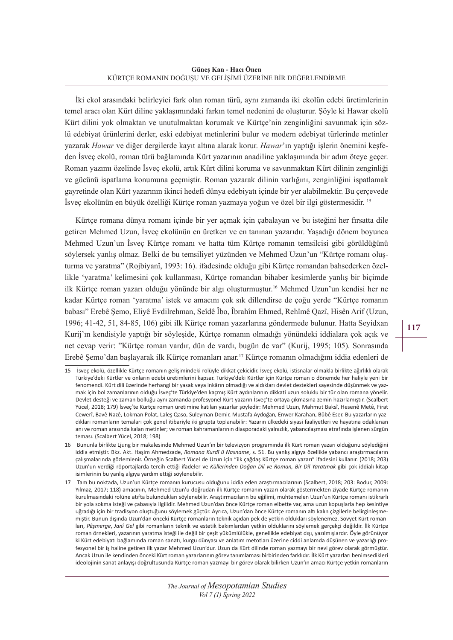İki ekol arasındaki belirleyici fark olan roman türü, aynı zamanda iki ekolün edebi üretimlerinin temel aracı olan Kürt diline yaklaşımındaki farkın temel nedenini de oluşturur. Şöyle ki Hawar ekolü Kürt dilini yok olmaktan ve unutulmaktan korumak ve Kürtçe'nin zenginliğini savunmak için sözlü edebiyat ürünlerini derler, eski edebiyat metinlerini bulur ve modern edebiyat türlerinde metinler yazarak *Hawar* ve diğer dergilerde kayıt altına alarak korur. *Hawar*'ın yaptığı işlerin önemini keşfeden İsveç ekolü, roman türü bağlamında Kürt yazarının anadiline yaklaşımında bir adım öteye geçer. Roman yazımı özelinde İsveç ekolü, artık Kürt dilini koruma ve savunmaktan Kürt dilinin zenginliği ve gücünü ispatlama konumuna geçmiştir. Roman yazarak dilinin varlığını, zenginliğini ispatlamak gayretinde olan Kürt yazarının ikinci hedefi dünya edebiyatı içinde bir yer alabilmektir. Bu çerçevede İsveç ekolünün en büyük özelliği Kürtçe roman yazmaya yoğun ve özel bir ilgi göstermesidir. 15

Kürtçe romana dünya romanı içinde bir yer açmak için çabalayan ve bu isteğini her fırsatta dile getiren Mehmed Uzun, İsveç ekolünün en üretken ve en tanınan yazarıdır. Yaşadığı dönem boyunca Mehmed Uzun'un İsveç Kürtçe romanı ve hatta tüm Kürtçe romanın temsilcisi gibi görüldüğünü söylersek yanlış olmaz. Belki de bu temsiliyet yüzünden ve Mehmed Uzun'un "Kürtçe romanı oluşturma ve yaratma" (Rojbiyanî, 1993: 16). ifadesinde olduğu gibi Kürtçe romandan bahsederken özellikle 'yaratma' kelimesini çok kullanması, Kürtçe romandan bihaber kesimlerde yanlış bir biçimde ilk Kürtçe roman yazarı olduğu yönünde bir algı oluşturmuştur.16 Mehmed Uzun'un kendisi her ne kadar Kürtçe roman 'yaratma' istek ve amacını çok sık dillendirse de çoğu yerde "Kürtçe romanın babası" Erebê Şemo, Eliyê Evdilrehman, Seîdê Îbo, Îbrahîm Ehmed, Rehîmê Qazî, Hisên Arif (Uzun, 1996; 41-42, 51, 84-85, 106) gibi ilk Kürtçe roman yazarlarına göndermede bulunur. Hatta Seyidxan Kurij'ın kendisiyle yaptığı bir söyleşide, Kürtçe romanın olmadığı yönündeki iddialara çok açık ve net cevap verir: "Kürtçe roman vardır, dün de vardı, bugün de var" (Kurij, 1995; 105). Sonrasında Erebê Şemo'dan başlayarak ilk Kürtçe romanları anar.17 Kürtçe romanın olmadığını iddia edenleri de

<sup>15</sup> İsveç ekolü, özellikle Kürtçe romanın gelişimindeki rolüyle dikkat çekicidir. İsveç ekolü, istisnalar olmakla birlikte ağırlıklı olarak Türkiye'deki Kürtler ve onların edebi üretimlerini kapsar. Türkiye'deki Kürtler için Kürtçe roman o dönemde her haliyle yeni bir fenomendi. Kürt dili üzerinde herhangi bir yasak veya inkârın olmadığı ve aldıkları devlet destekleri sayesinde düşünmek ve yazmak için bol zamanlarının olduğu İsveç'te Türkiye'den kaçmış Kürt aydınlarının dikkati uzun soluklu bir tür olan romana yönelir. Devlet desteği ve zaman bolluğu aynı zamanda profesyonel Kürt yazarın İsveç'te ortaya çıkmasına zemin hazırlamıştır. (Scalbert Yücel, 2018; 179) İsveç'te Kürtçe roman üretimine katılan yazarlar şöyledir: Mehmed Uzun, Mahmut Baksî, Hesenê Metê, Firat Cewerî, Bavê Nazê, Lokman Polat, Laleş Qaso, Suleyman Demir, Mustafa Aydoğan, Enwer Karahan, Bûbê Eser. Bu yazarların yazdıkları romanların temaları çok genel itibariyle iki grupta toplanabilir: Yazarın ülkedeki siyasi faaliyetleri ve hayatına odaklanan anı ve roman arasında kalan metinler; ve roman kahramanlarının diasporadaki yalnızlık, yabancılaşması etrafında işlenen sürgün teması. (Scalbert Yücel, 2018; 198)

<sup>16</sup> Bununla birlikte Ljung bir makalesinde Mehmed Uzun'ın bir televizyon programında ilk Kürt roman yazarı olduğunu söylediğini iddia etmiştir. Bkz. Akt. Haşim Ahmedzade, *Romana Kurdî û Nasname*, s. 51. Bu yanlış algıya özellikle yabancı araştırmacıların çalışmalarında gözlemlenir. Örneğin Scalbert Yücel de Uzun için "ilk çağdaş Kürtçe roman yazarı" ifadesini kullanır. (2018; 203) Uzun'un verdiği röportajlarda tercih ettiği ifadeler ve *Küllerinden Doğan Dil ve Roman, Bir Dil Yaratmak* gibi çok iddialı kitap isimlerinin bu yanlış algıya yardım ettiği söylenebilir.

<sup>17</sup> Tam bu noktada, Uzun'un Kürtçe romanın kurucusu olduğunu iddia eden araştırmacılarının (Scalbert, 2018; 203: Bodur, 2009: Yılmaz, 2017; 118) amacının, Mehmed Uzun'u doğrudan ilk Kürtçe romanın yazarı olarak göstermekten ziyade Kürtçe romanın kurulmasındaki rolüne atıfta bulundukları söylenebilir. Araştırmacıların bu eğilimi, muhtemelen Uzun'un Kürtçe romanı istikrarlı bir yola sokma isteği ve çabasıyla ilgilidir. Mehmed Uzun'dan önce Kürtçe roman elbette var, ama uzun kopuşlarla hep kesintiye uğradığı için bir tradisyon oluştuğunu söylemek güçtür. Ayrıca, Uzun'dan önce Kürtçe romanın altı kalın çizgilerle belirginleşmemiştir. Bunun dışında Uzun'dan önceki Kürtçe romanların teknik açıdan pek de yetkin oldukları söylenemez. Sovyet Kürt romanları, *Pêşmerge*, *Janî Gel* gibi romanların teknik ve estetik bakımlardan yetkin olduklarını söylemek gerçekçi değildir. İlk Kürtçe roman örnekleri, yazarının yaratma isteği ile değil bir çeşit yükümlülükle, genellikle edebiyat dışı, yazılmışlardır. Öyle görünüyor ki Kürt edebiyatı bağlamında roman sanatı, kurgu dünyası ve anlatım metotları üzerine ciddi anlamda düşünen ve yazarlığı profesyonel bir iş haline getiren ilk yazar Mehmed Uzun'dur. Uzun da Kürt dilinde roman yazmayı bir nevi görev olarak görmüştür. Ancak Uzun ile kendinden önceki Kürt roman yazarlarının görev tanımlaması birbirinden farklıdır. İlk Kürt yazarları benimsedikleri ideolojinin sanat anlayışı doğrultusunda Kürtçe roman yazmayı bir görev olarak bilirken Uzun'ın amacı Kürtçe yetkin romanların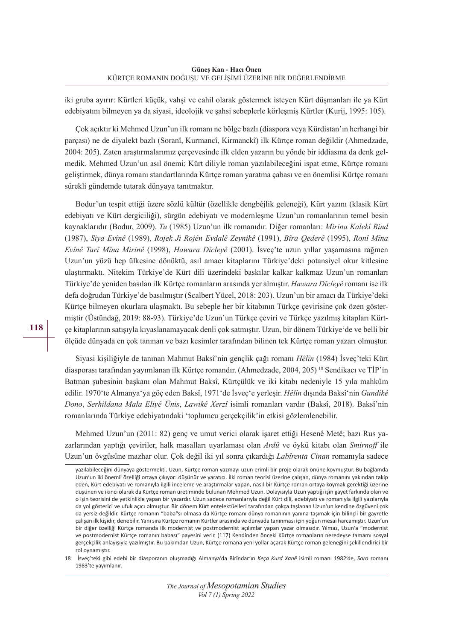iki gruba ayırır: Kürtleri küçük, vahşi ve cahil olarak göstermek isteyen Kürt düşmanları ile ya Kürt edebiyatını bilmeyen ya da siyasi, ideolojik ve şahsi sebeplerle körleşmiş Kürtler (Kurij, 1995: 105).

Çok açıktır ki Mehmed Uzun'un ilk romanı ne bölge bazlı (diaspora veya Kürdistan'ın herhangi bir parçası) ne de diyalekt bazlı (Soranî, Kurmancî, Kirmanckî) ilk Kürtçe roman değildir (Ahmedzade, 2004: 205). Zaten araştırmalarımız çerçevesinde ilk elden yazarın bu yönde bir iddiasına da denk gelmedik. Mehmed Uzun'un asıl önemi; Kürt diliyle roman yazılabileceğini ispat etme, Kürtçe romanı geliştirmek, dünya romanı standartlarında Kürtçe roman yaratma çabası ve en önemlisi Kürtçe romanı sürekli gündemde tutarak dünyaya tanıtmaktır.

Bodur'un tespit ettiği üzere sözlü kültür (özellikle dengbêjlik geleneği), Kürt yazını (klasik Kürt edebiyatı ve Kürt dergiciliği), sürgün edebiyatı ve modernleşme Uzun'un romanlarının temel besin kaynaklarıdır (Bodur, 2009). *Tu* (1985) Uzun'un ilk romanıdır. Diğer romanları: *Mirina Kalekî Rind* (1987), *Siya Evînê* (1989), *Rojek Ji Rojên Evdalê Zeynikê* (1991), *Bîra Qederê* (1995), *Ronî Mîna Evînê Tarî Mîna Mirinê* (1998), *Hawara Dîcleyê* (2001). İsveç'te uzun yıllar yaşamasına rağmen Uzun'un yüzü hep ülkesine dönüktü, asıl amacı kitaplarını Türkiye'deki potansiyel okur kitlesine ulaştırmaktı. Nitekim Türkiye'de Kürt dili üzerindeki baskılar kalkar kalkmaz Uzun'un romanları Türkiye'de yeniden basılan ilk Kürtçe romanların arasında yer almıştır. *Hawara Dîcleyê* romanı ise ilk defa doğrudan Türkiye'de basılmıştır (Scalbert Yücel, 2018: 203). Uzun'un bir amacı da Türkiye'deki Kürtçe bilmeyen okurlara ulaşmaktı. Bu sebeple her bir kitabının Türkçe çevirisine çok özen göstermiştir (Üstündağ, 2019: 88-93). Türkiye'de Uzun'un Türkçe çeviri ve Türkçe yazılmış kitapları Kürtçe kitaplarının satışıyla kıyaslanamayacak denli çok satmıştır. Uzun, bir dönem Türkiye'de ve belli bir ölçüde dünyada en çok tanınan ve bazı kesimler tarafından bilinen tek Kürtçe roman yazarı olmuştur.

Siyasi kişiliğiyle de tanınan Mahmut Baksî'nin gençlik çağı romanı *Hêlîn* (1984) İsveç'teki Kürt diasporası tarafından yayımlanan ilk Kürtçe romandır. (Ahmedzade, 2004, 205) 18 Sendikacı ve TİP'in Batman şubesinin başkanı olan Mahmut Baksî, Kürtçülük ve iki kitabı nedeniyle 15 yıla mahkûm edilir. 1970'te Almanya'ya göç eden Baksî, 1971'de İsveç'e yerleşir. *Hêlîn* dışında Baksî'nin *Gundikê Dono*, *Serhildana Mala Eliyê Ûnis*, *Lawikê Xerzî* isimli romanları vardır (Baksî, 2018). Baksî'nin romanlarında Türkiye edebiyatındaki 'toplumcu gerçekçilik'in etkisi gözlemlenebilir.

Mehmed Uzun'un (2011: 82) genç ve umut verici olarak işaret ettiği Hesenê Metê; bazı Rus yazarlarından yaptığı çeviriler, halk masalları uyarlaması olan *Ardû* ve öykü kitabı olan *Smirnoff* ile Uzun'un övgüsüne mazhar olur. Çok değil iki yıl sonra çıkardığı *Labîrenta Cinan* romanıyla sadece

18 İsveç'teki gibi edebi bir diasporanın oluşmadığı Almanya'da Birîndar'ın *Keça Kurd Xanê* isimli romanı 1982'de, *Soro* romanı 1983'te yayımlanır.

**118**

*The Journal of Mesopotamian Studies Vol 7 (1) Spring 2022*

yazılabileceğini dünyaya göstermekti. Uzun, Kürtçe roman yazmayı uzun erimli bir proje olarak önüne koymuştur. Bu bağlamda Uzun'un iki önemli özelliği ortaya çıkıyor: düşünür ve yaratıcı. İlki roman teorisi üzerine çalışan, dünya romanını yakından takip eden, Kürt edebiyatı ve romanıyla ilgili inceleme ve araştırmalar yapan, nasıl bir Kürtçe roman ortaya koymak gerektiği üzerine düşünen ve ikinci olarak da Kürtçe roman üretiminde bulunan Mehmed Uzun. Dolayısıyla Uzun yaptığı işin gayet farkında olan ve o işin teorisini de yetkinlikle yapan bir yazardır. Uzun sadece romanlarıyla değil Kürt dili, edebiyatı ve romanıyla ilgili yazılarıyla da yol gösterici ve ufuk açıcı olmuştur. Bir dönem Kürt entelektüelleri tarafından çokça taşlanan Uzun'un kendine özgüveni çok da yersiz değildir. Kürtçe romanın "baba"sı olmasa da Kürtçe romanı dünya romanının yanına taşımak için bilinçli bir gayretle çalışan ilk kişidir, denebilir. Yanısıra Kürtçe romanın Kürtler arasında ve dünyada tanınması için yoğun mesai harcamıştır. Uzun'un bir diğer özelliği Kürtçe romanda ilk modernist ve postmodernist açılımlar yapan yazar olmasıdır. Yılmaz, Uzun'a "modernist ve postmodernist Kürtçe romanın babası" payesini verir. (117) Kendinden önceki Kürtçe romanların neredeyse tamamı sosyal gerçekçilik anlayışıyla yazılmıştır. Bu bakımdan Uzun, Kürtçe romana yeni yollar açarak Kürtçe roman geleneğini şekillendirici bir rol oynamıştır.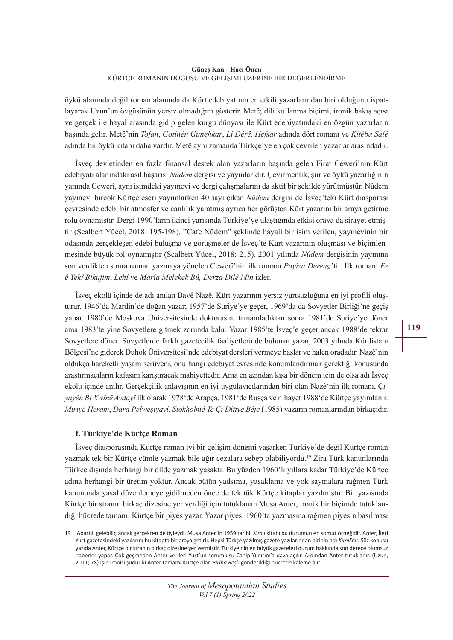öykü alanında değil roman alanında da Kürt edebiyatının en etkili yazarlarından biri olduğunu ispatlayarak Uzun'un övgüsünün yersiz olmadığını gösterir. Metê; dili kullanma biçimi, ironik bakış açısı ve gerçek ile hayal arasında gidip gelen kurgu dünyası ile Kürt edebiyatındaki en özgün yazarların başında gelir. Metê'nin *Tofan*, *Gotinên Gunehkar*, *Li Dêrê, Hefsar* adında dört romanı ve *Kitêba Salê* adında bir öykü kitabı daha vardır. Metê aynı zamanda Türkçe'ye en çok çevrilen yazarlar arasındadır.

İsveç devletinden en fazla finansal destek alan yazarların başında gelen Firat Cewerî'nin Kürt edebiyatı alanındaki asıl başarısı *Nûdem* dergisi ve yayınlarıdır. Çevirmenlik, şiir ve öykü yazarlığının yanında Cewerî, aynı isimdeki yayınevi ve dergi çalışmalarını da aktif bir şekilde yürütmüştür. Nûdem yayınevi birçok Kürtçe eseri yayımlarken 40 sayı çıkan *Nûdem* dergisi de İsveç'teki Kürt diasporası çevresinde edebi bir atmosfer ve canlılık yaratmış ayrıca her görüşten Kürt yazarını bir araya getirme rolü oynamıştır. Dergi 1990'ların ikinci yarısında Türkiye'ye ulaştığında etkisi oraya da sirayet etmiştir (Scalbert Yücel, 2018: 195-198). "Cafe Nûdem" şeklinde hayali bir isim verilen, yayınevinin bir odasında gerçekleşen edebi buluşma ve görüşmeler de İsveç'te Kürt yazarının oluşması ve biçimlenmesinde büyük rol oynamıştır (Scalbert Yücel, 2018: 215). 2001 yılında *Nûdem* dergisinin yayınına son verdikten sonra roman yazmaya yönelen Cewerî'nin ilk romanı *Payîza Dereng*'tir. İlk romanı *Ez ê Yekî Bikujim*, *Lehî* ve *Marîa Melekek Bû, Derza Dilê Min* izler.

İsveç ekolü içinde de adı anılan Bavê Nazê, Kürt yazarının yersiz yurtsuzluğuna en iyi profili oluşturur. 1946'da Mardin'de doğan yazar; 1957'de Suriye'ye geçer, 1969'da da Sovyetler Birliği'ne geçiş yapar. 1980'de Moskova Üniversitesinde doktorasını tamamladıktan sonra 1981'de Suriye'ye döner ama 1983'te yine Sovyetlere gitmek zorunda kalır. Yazar 1985'te İsveç'e geçer ancak 1988'de tekrar Sovyetlere döner. Sovyetlerde farklı gazetecilik faaliyetlerinde bulunan yazar, 2003 yılında Kürdistanı Bölgesi'ne giderek Duhok Üniversitesi'nde edebiyat dersleri vermeye başlar ve halen oradadır. Nazê'nin oldukça hareketli yaşam serüveni, onu hangi edebiyat evresinde konumlandırmak gerektiği konusunda araştırmacıların kafasını karıştıracak mahiyettedir. Ama en azından kısa bir dönem için de olsa adı İsveç ekolü içinde anılır. Gerçekçilik anlayışının en iyi uygulayıcılarından biri olan Nazê'nin ilk romanı, Ç*iyayên Bi Xwînê Avdayî* ilk olarak 1978'de Arapça, 1981'de Rusça ve nihayet 1988'de Kürtçe yayımlanır. *Miriyê Heram*, *Dara Pelweşiyayî*, *Stokholmê Te Çi Dîtiye Bêje* (1985) yazarın romanlarından birkaçıdır.

# **f. Türkiye'de Kürtçe Roman**

İsveç diasporasında Kürtçe roman iyi bir gelişim dönemi yaşarken Türkiye'de değil Kürtçe roman yazmak tek bir Kürtçe cümle yazmak bile ağır cezalara sebep olabiliyordu.19 Zira Türk kanunlarında Türkçe dışında herhangi bir dilde yazmak yasaktı. Bu yüzden 1960'lı yıllara kadar Türkiye'de Kürtçe adına herhangi bir üretim yoktur. Ancak bütün yadsıma, yasaklama ve yok saymalara rağmen Türk kanununda yasal düzenlemeye gidilmeden önce de tek tük Kürtçe kitaplar yazılmıştır. Bir yazısında Kürtce bir stranın birkaç dizesine yer verdiği için tutuklanan Musa Anter, ironik bir biçimde tutuklandığı hücrede tamamı Kürtçe bir piyes yazar. Yazar piyesi 1960'ta yazmasına rağmen piyesin basılması **119** 

<sup>19</sup> Abartılı gelebilir, ancak gerçekten de öyleydi. Musa Anter'in 1959 tarihli *Kımıl* kitabı bu durumun en somut örneğidir. Anter, İleri Yurt gazetesindeki yazılarını bu kitapta bir araya getirir. Hepsi Türkçe yazılmış gazete yazılarından birinin adı *Kımıl*'dır. Söz konusu yazıda Anter, Kürtçe birstranın birkaç dizesine yer vermiştir. Türkiye'nin en büyük gazeteleri durum hakkında son derece olumsuz haberler yapar. Çok geçmeden Anter ve İleri Yurt'un sorumlusu Canip Yıldırım'a dava açılır. Ardından Anter tutuklanır. (Uzun, 2011; 78) İşin ironisi şudur ki Anter tamamı Kürtçe olan *Birîna Reş*'i gönderildiği hücrede kaleme alır.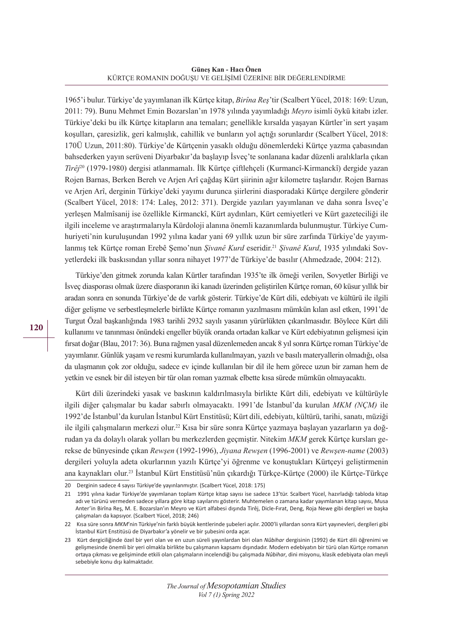**Güneş Kan - Hacı Önen** KÜRTÇE ROMANIN DOĞUŞU VE GELİŞİMİ ÜZERİNE BİR DEĞERLENDİRME

1965'i bulur. Türkiye'de yayımlanan ilk Kürtçe kitap, *Birîna Reş*'tir (Scalbert Yücel, 2018: 169: Uzun, 2011: 79). Bunu Mehmet Emin Bozarslan'ın 1978 yılında yayımladığı *Meyro* isimli öykü kitabı izler. Türkiye'deki bu ilk Kürtçe kitapların ana temaları; genellikle kırsalda yaşayan Kürtler'in sert yaşam koşulları, çaresizlik, geri kalmışlık, cahillik ve bunların yol açtığı sorunlardır (Scalbert Yücel, 2018: 170Ü Uzun, 2011:80). Türkiye'de Kürtçenin yasaklı olduğu dönemlerdeki Kürtçe yazma çabasından bahsederken yayın serüveni Diyarbakır'da başlayıp İsveç'te sonlanana kadar düzenli aralıklarla çıkan *Tirêj*20 (1979-1980) dergisi atlanmamalı. İlk Kürtçe çiftlehçeli (Kurmancî-Kirmanckî) dergide yazan Rojen Barnas, Berken Bereh ve Arjen Arî çağdaş Kürt şiirinin ağır kilometre taşlarıdır. Rojen Barnas ve Arjen Arî, derginin Türkiye'deki yayımı durunca şiirlerini diasporadaki Kürtçe dergilere gönderir (Scalbert Yücel, 2018: 174: Laleş, 2012: 371). Dergide yazıları yayımlanan ve daha sonra İsveç'e yerleşen Malmîsanij ise özellikle Kirmanckî, Kürt aydınları, Kürt cemiyetleri ve Kürt gazeteciliği ile ilgili inceleme ve araştırmalarıyla Kürdoloji alanına önemli kazanımlarda bulunmuştur. Türkiye Cumhuriyeti'nin kuruluşundan 1992 yılına kadar yani 69 yıllık uzun bir süre zarfında Türkiye'de yayımlanmış tek Kürtçe roman Erebê Şemo'nun *Şivanê Kurd* eseridir.21 *Şivanê Kurd*, 1935 yılındaki Sovyetlerdeki ilk baskısından yıllar sonra nihayet 1977'de Türkiye'de basılır (Ahmedzade, 2004: 212).

Türkiye'den gitmek zorunda kalan Kürtler tarafından 1935'te ilk örneği verilen, Sovyetler Birliği ve İsveç diasporası olmak üzere diasporanın iki kanadı üzerinden geliştirilen Kürtçe roman, 60 küsur yıllık bir aradan sonra en sonunda Türkiye'de de varlık gösterir. Türkiye'de Kürt dili, edebiyatı ve kültürü ile ilgili diğer gelişme ve serbestleşmelerle birlikte Kürtçe romanın yazılmasını mümkün kılan asıl etken, 1991'de Turgut Özal başkanlığında 1983 tarihli 2932 sayılı yasanın yürürlükten çıkarılmasıdır. Böylece Kürt dili kullanımı ve tanınması önündeki engeller büyük oranda ortadan kalkar ve Kürt edebiyatının gelişmesi için fırsat doğar (Blau, 2017: 36). Buna rağmen yasal düzenlemeden ancak 8 yıl sonra Kürtçe roman Türkiye'de yayımlanır. Günlük yaşam ve resmi kurumlarda kullanılmayan, yazılı ve basılı materyallerin olmadığı, olsa da ulaşmanın çok zor olduğu, sadece ev içinde kullanılan bir dil ile hem görece uzun bir zaman hem de yetkin ve esnek bir dil isteyen bir tür olan roman yazmak elbette kısa sürede mümkün olmayacaktı.

Kürt dili üzerindeki yasak ve baskının kaldırılmasıyla birlikte Kürt dili, edebiyatı ve kültürüyle ilgili diğer çalışmalar bu kadar sabırlı olmayacaktı. 1991'de İstanbul'da kurulan *MKM (NÇM)* ile 1992'de İstanbul'da kurulan İstanbul Kürt Enstitüsü; Kürt dili, edebiyatı, kültürü, tarihi, sanatı, müziği ile ilgili çalışmaların merkezi olur.<sup>22</sup> Kısa bir süre sonra Kürtçe yazmaya başlayan yazarların ya doğrudan ya da dolaylı olarak yolları bu merkezlerden geçmiştir. Nitekim *MKM* gerek Kürtçe kursları gerekse de bünyesinde çıkan *Rewşen* (1992-1996), *Jiyana Rewşen* (1996-2001) ve *Rewşen-name* (2003) dergileri yoluyla adeta okurlarının yazılı Kürtçe'yi öğrenme ve konuştukları Kürtçeyi geliştirmenin ana kaynakları olur.<sup>23</sup> İstanbul Kürt Enstitüsü'nün çıkardığı Türkçe-Kürtçe (2000) ile Kürtçe-Türkçe

<sup>20</sup> Derginin sadece 4 sayısı Türkiye'de yayınlanmıştır. (Scalbert Yücel, 2018: 175)

<sup>21</sup> 1991 yılına kadar Türkiye'de yayımlanan toplam Kürtçe kitap sayısı ise sadece 13'tür. Scalbert Yücel, hazırladığı tabloda kitap adı ve türünü vermeden sadece yıllara göre kitap sayılarını gösterir. Muhtemelen o zamana kadar yayımlanan kitap sayısı, Musa Anter'in Birîna Reş, M. E. Bozarslan'ın Meyro ve Kürt alfabesi dışında Tirêj, Dicle-Fırat, Deng, Roja Newe gibi dergileri ve başka çalışmaları da kapsıyor. (Scalbert Yücel, 2018; 246)

<sup>22</sup> Kısa süre sonra *MKM*'nin Türkiye'nin farklı büyük kentlerinde şubeleri açılır. 2000'li yıllardan sonra Kürt yayınevleri, dergileri gibi İstanbul Kürt Enstitüsü de Diyarbakır'a yönelir ve bir şubesini orda açar.

<sup>23</sup> Kürt dergiciliğinde özel bir yeri olan ve en uzun süreli yayınlardan biri olan *Nûbihar* dergisinin (1992) de Kürt dili öğrenimi ve gelişmesinde önemli bir yeri olmakla birlikte bu çalışmanın kapsamı dışındadır. Modern edebiyatın bir türü olan Kürtçe romanın ortaya çıkması ve gelişiminde etkili olan çalışmaların incelendiği bu çalışmada *Nûbihar*, dini misyonu, klasik edebiyata olan meyli sebebiyle konu dışı kalmaktadır.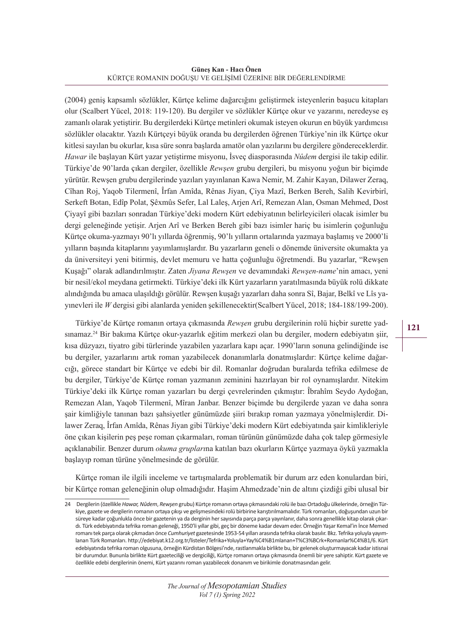**Güneş Kan - Hacı Önen** KÜRTÇE ROMANIN DOĞUŞU VE GELİŞİMİ ÜZERİNE BİR DEĞERLENDİRME

(2004) geniş kapsamlı sözlükler, Kürtçe kelime dağarcığını geliştirmek isteyenlerin başucu kitapları olur (Scalbert Yücel, 2018: 119-120). Bu dergiler ve sözlükler Kürtçe okur ve yazarını, neredeyse eş zamanlı olarak yetiştirir. Bu dergilerdeki Kürtçe metinleri okumak isteyen okurun en büyük yardımcısı sözlükler olacaktır. Yazılı Kürtçeyi büyük oranda bu dergilerden öğrenen Türkiye'nin ilk Kürtçe okur kitlesi sayılan bu okurlar, kısa süre sonra başlarda amatör olan yazılarını bu dergilere göndereceklerdir. *Hawar* ile başlayan Kürt yazar yetiştirme misyonu, İsveç diasporasında *Nûdem* dergisi ile takip edilir. Türkiye'de 90'larda çıkan dergiler, özellikle *Rewşen* grubu dergileri, bu misyonu yoğun bir biçimde yürütür. Rewşen grubu dergilerinde yazıları yayınlanan Kawa Nemir, M. Zahir Kayan, Dilawer Zeraq, Cîhan Roj, Yaqob Tilermenî, Îrfan Amîda, Rênas Jiyan, Çiya Mazî, Berken Bereh, Salih Kevirbirî, Serkeft Botan, Edîp Polat, Şêxmûs Sefer, Lal Laleş, Arjen Arî, Remezan Alan, Osman Mehmed, Dost Çiyayî gibi bazıları sonradan Türkiye'deki modern Kürt edebiyatının belirleyicileri olacak isimler bu dergi geleneğinde yetişir. Arjen Arî ve Berken Bereh gibi bazı isimler hariç bu isimlerin çoğunluğu Kürtçe okuma-yazmayı 90'lı yıllarda öğrenmiş, 90'lı yılların ortalarında yazmaya başlamış ve 2000'li yılların başında kitaplarını yayımlamışlardır. Bu yazarların geneli o dönemde üniversite okumakta ya da üniversiteyi yeni bitirmiş, devlet memuru ve hatta çoğunluğu öğretmendi. Bu yazarlar, "Rewşen Kuşağı" olarak adlandırılmıştır. Zaten *Jiyana Rewşen* ve devamındaki *Rewşen-name*'nin amacı, yeni bir nesil/ekol meydana getirmekti. Türkiye'deki ilk Kürt yazarların yaratılmasında büyük rolü dikkate alındığında bu amaca ulaşıldığı görülür. Rewşen kuşağı yazarları daha sonra Sî, Bajar, Belkî ve Lîs yayınevleri ile *W* dergisi gibi alanlarda yeniden şekillenecektir(Scalbert Yücel, 2018; 184-188/199-200).

Türkiye'de Kürtçe romanın ortaya çıkmasında *Rewşen* grubu dergilerinin rolü hiçbir surette yadsınamaz.24 Bir bakıma Kürtçe okur-yazarlık eğitim merkezi olan bu dergiler, modern edebiyatın şiir, kısa düzyazı, tiyatro gibi türlerinde yazabilen yazarlara kapı açar. 1990'ların sonuna gelindiğinde ise bu dergiler, yazarlarını artık roman yazabilecek donanımlarla donatmışlardır: Kürtçe kelime dağarcığı, görece standart bir Kürtçe ve edebi bir dil. Romanlar doğrudan buralarda tefrika edilmese de bu dergiler, Türkiye'de Kürtçe roman yazmanın zeminini hazırlayan bir rol oynamışlardır. Nitekim Türkiye'deki ilk Kürtçe roman yazarları bu dergi çevrelerinden çıkmıştır: Îbrahîm Seydo Aydoğan, Remezan Alan, Yaqob Tilermenî, Mîran Janbar. Benzer biçimde bu dergilerde yazan ve daha sonra şair kimliğiyle tanınan bazı şahsiyetler günümüzde şiiri bırakıp roman yazmaya yönelmişlerdir. Dilawer Zeraq, Îrfan Amîda, Rênas Jiyan gibi Türkiye'deki modern Kürt edebiyatında şair kimlikleriyle öne çıkan kişilerin peş peşe roman çıkarmaları, roman türünün günümüzde daha çok talep görmesiyle açıklanabilir. Benzer durum *okuma grupları*na katılan bazı okurların Kürtçe yazmaya öykü yazmakla başlayıp roman türüne yönelmesinde de görülür.

Kürtçe roman ile ilgili inceleme ve tartışmalarda problematik bir durum arz eden konulardan biri, bir Kürtçe roman geleneğinin olup olmadığıdır. Haşim Ahmedzade'nin de altını çizdiği gibi ulusal bir

<sup>24</sup> Dergilerin (özellikle*Hawar,Nûdem*, *Rewşen* grubu) Kürtçe romanın ortaya çıkmasındakirolü ile bazıOrtadoğu ülkelerinde, örneğin Türkiye, gazete ve dergilerin romanın ortaya çıkışı ve gelişmesindeki rolü birbirine karıştırılmamalıdır. Türk romanları, doğuşundan uzun bir süreye kadar çoğunlukla önce bir gazetenin ya da derginin hersayısında parça parça yayınlanır, daha sonra genellikle kitap olarak çıkardı. Türk edebiyatında tefrika roman geleneği, 1950'li yıllar gibi, geç bir döneme kadar devam eder. Örneğin Yaşar Kemal'in İnce Memed romanıtek parça olarak çıkmadan önce *Cumhuriyet* gazetesinde 1953-54 yılları arasında tefrika olarak basılır. Bkz. Tefrika yoluyla yayımlanan Türk Romanları. http://edebiyat.k12.org.tr/listeler/Tefrika+Yoluyla+Yay%C4%B1mlanan+T%C3%BCrk+Romanlar%C4%B1/6. Kürt edebiyatında tefrika roman olgusuna, örneğin Kürdistan Bölgesi'nde, rastlanmakla birlikte bu, bir gelenek oluşturmayacak kadar istisnai bir durumdur. Bununla birlikte Kürt gazeteciliği ve dergiciliği, Kürtçe romanın ortaya çıkmasında önemli bir yere sahiptir. Kürt gazete ve özellikle edebi dergilerinin önemi, Kürt yazarını roman yazabilecek donanım ve birikimle donatmasından gelir.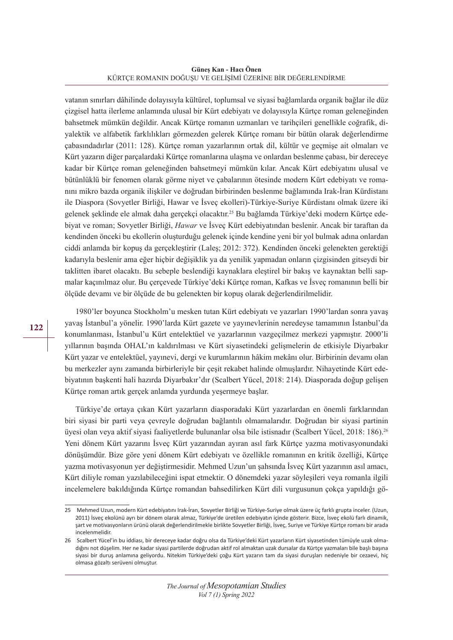**Güneş Kan - Hacı Önen** KÜRTÇE ROMANIN DOĞUŞU VE GELİŞİMİ ÜZERİNE BİR DEĞERLENDİRME

vatanın sınırları dâhilinde dolayısıyla kültürel, toplumsal ve siyasi bağlamlarda organik bağlar ile düz çizgisel hatta ilerleme anlamında ulusal bir Kürt edebiyatı ve dolayısıyla Kürtçe roman geleneğinden bahsetmek mümkün değildir. Ancak Kürtçe romanın uzmanları ve tarihçileri genellikle coğrafik, diyalektik ve alfabetik farklılıkları görmezden gelerek Kürtçe romanı bir bütün olarak değerlendirme çabasındadırlar (2011: 128). Kürtçe roman yazarlarının ortak dil, kültür ve geçmişe ait olmaları ve Kürt yazarın diğer parçalardaki Kürtçe romanlarına ulaşma ve onlardan beslenme çabası, bir dereceye kadar bir Kürtçe roman geleneğinden bahsetmeyi mümkün kılar. Ancak Kürt edebiyatını ulusal ve bütünlüklü bir fenomen olarak görme niyet ve çabalarının ötesinde modern Kürt edebiyatı ve romanını mikro bazda organik ilişkiler ve doğrudan birbirinden beslenme bağlamında Irak-İran Kürdistanı ile Diaspora (Sovyetler Birliği, Hawar ve İsveç ekolleri)-Türkiye-Suriye Kürdistanı olmak üzere iki gelenek şeklinde ele almak daha gerçekçi olacaktır.25 Bu bağlamda Türkiye'deki modern Kürtçe edebiyat ve roman; Sovyetler Birliği, *Hawar* ve İsveç Kürt edebiyatından beslenir. Ancak bir taraftan da kendinden önceki bu ekollerin oluşturduğu gelenek içinde kendine yeni bir yol bulmak adına onlardan ciddi anlamda bir kopuş da gerçekleştirir (Laleş; 2012: 372). Kendinden önceki gelenekten gerektiği kadarıyla beslenir ama eğer hiçbir değişiklik ya da yenilik yapmadan onların çizgisinden gitseydi bir taklitten ibaret olacaktı. Bu sebeple beslendiği kaynaklara eleştirel bir bakış ve kaynaktan belli sapmalar kaçınılmaz olur. Bu çerçevede Türkiye'deki Kürtçe roman, Kafkas ve İsveç romanının belli bir ölçüde devamı ve bir ölçüde de bu gelenekten bir kopuş olarak değerlendirilmelidir.

1980'ler boyunca Stockholm'u mesken tutan Kürt edebiyatı ve yazarları 1990'lardan sonra yavaş yavaş İstanbul'a yönelir. 1990'larda Kürt gazete ve yayınevlerinin neredeyse tamamının İstanbul'da konumlanması, İstanbul'u Kürt entelektüel ve yazarlarının vazgeçilmez merkezi yapmıştır. 2000'li yıllarının başında OHAL'ın kaldırılması ve Kürt siyasetindeki gelişmelerin de etkisiyle Diyarbakır Kürt yazar ve entelektüel, yayınevi, dergi ve kurumlarının hâkim mekânı olur. Birbirinin devamı olan bu merkezler aynı zamanda birbirleriyle bir çeşit rekabet halinde olmuşlardır. Nihayetinde Kürt edebiyatının başkenti hali hazırda Diyarbakır'dır (Scalbert Yücel, 2018: 214). Diasporada doğup gelişen Kürtçe roman artık gerçek anlamda yurdunda yeşermeye başlar.

Türkiye'de ortaya çıkan Kürt yazarların diasporadaki Kürt yazarlardan en önemli farklarından biri siyasi bir parti veya çevreyle doğrudan bağlantılı olmamalarıdır. Doğrudan bir siyasi partinin üyesi olan veya aktif siyasi faaliyetlerde bulunanlar olsa bile istisnadır (Scalbert Yücel, 2018: 186).26 Yeni dönem Kürt yazarını İsveç Kürt yazarından ayıran asıl fark Kürtçe yazma motivasyonundaki dönüşümdür. Bize göre yeni dönem Kürt edebiyatı ve özellikle romanının en kritik özelliği, Kürtçe yazma motivasyonun yer değiştirmesidir. Mehmed Uzun'un şahsında İsveç Kürt yazarının asıl amacı, Kürt diliyle roman yazılabileceğini ispat etmektir. O dönemdeki yazar söyleşileri veya romanla ilgili incelemelere bakıldığında Kürtçe romandan bahsedilirken Kürt dili vurgusunun çokça yapıldığı gö-

<sup>25</sup> Mehmed Uzun, modern Kürt edebiyatını Irak-İran, Sovyetler Birliği ve Türkiye-Suriye olmak üzere üç farklı grupta inceler. (Uzun, 2011) İsveç ekolünü ayrı bir dönem olarak almaz, Türkiye'de üretilen edebiyatın içinde gösterir. Bizce, İsveç ekolü farlı dinamik, şart ve motivasyonların ürünü olarak değerlendirilmekle birlikte Sovyetler Birliği, İsveç, Suriye ve Türkiye Kürtçe romanı bir arada incelenmelidir.

<sup>26</sup> Scalbert Yücel'in bu iddiası, bir dereceye kadar doğru olsa da Türkiye'deki Kürt yazarların Kürt siyasetinden tümüyle uzak olmadığını not düşelim. Her ne kadar siyasi partilerde doğrudan aktif rol almaktan uzak dursalar da Kürtçe yazmaları bile başlı başına siyasi bir duruş anlamına geliyordu. Nitekim Türkiye'deki çoğu Kürt yazarın tam da siyasi duruşları nedeniyle bir cezaevi, hiç olmasa gözaltı serüveni olmuştur.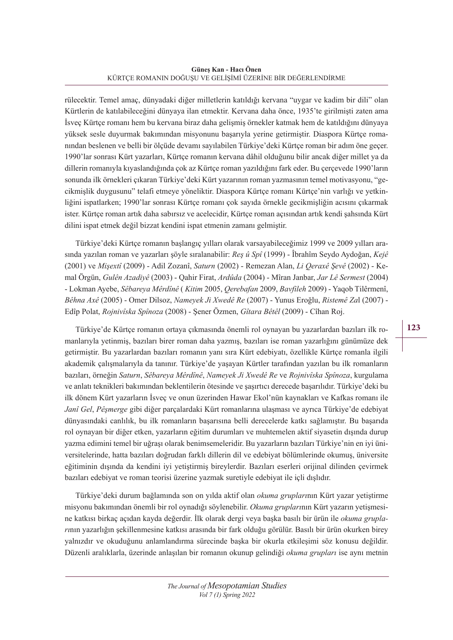rülecektir. Temel amaç, dünyadaki diğer milletlerin katıldığı kervana "uygar ve kadim bir dili" olan Kürtlerin de katılabileceğini dünyaya ilan etmektir. Kervana daha önce, 1935'te girilmişti zaten ama İsveç Kürtçe romanı hem bu kervana biraz daha gelişmiş örnekler katmak hem de katıldığını dünyaya yüksek sesle duyurmak bakımından misyonunu başarıyla yerine getirmiştir. Diaspora Kürtçe romanından beslenen ve belli bir ölçüde devamı sayılabilen Türkiye'deki Kürtçe roman bir adım öne geçer. 1990'lar sonrası Kürt yazarları, Kürtçe romanın kervana dâhil olduğunu bilir ancak diğer millet ya da dillerin romanıyla kıyaslandığında çok az Kürtçe roman yazıldığını fark eder. Bu çerçevede 1990'ların sonunda ilk örnekleri çıkaran Türkiye'deki Kürt yazarının roman yazmasının temel motivasyonu, "gecikmişlik duygusunu" telafi etmeye yöneliktir. Diaspora Kürtçe romanı Kürtçe'nin varlığı ve yetkinliğini ispatlarken; 1990'lar sonrası Kürtçe romanı çok sayıda örnekle gecikmişliğin acısını çıkarmak ister. Kürtçe roman artık daha sabırsız ve acelecidir, Kürtçe roman açısından artık kendi şahsında Kürt dilini ispat etmek değil bizzat kendini ispat etmenin zamanı gelmiştir.

Türkiye'deki Kürtçe romanın başlangıç yılları olarak varsayabileceğimiz 1999 ve 2009 yılları arasında yazılan roman ve yazarları şöyle sıralanabilir: *Reş û Spî* (1999) - Îbrahîm Seydo Aydoğan, *Kejê* (2001) ve *Mişextî* (2009) - Adil Zozanî, *Saturn* (2002) - Remezan Alan, *Li Qeraxê Şevê* (2002) - Kemal Örgün, *Gulên Azadiyê* (2003) - Qahir Firat, *Ardûda* (2004) - Mîran Janbar, *Jar Lê Sermest* (2004) - Lokman Ayebe, *Sêbareya Mêrdînê* ( *Kitim* 2005, *Qerebafan* 2009, *Bavfileh* 2009) - Yaqob Tilêrmenî, *Bêhna Axê* (2005) - Omer Dilsoz, *Nameyek Ji Xwedê Re* (2007) - Yunus Eroğlu, *Ristemê Za*l (2007) - Edîp Polat, *Rojnivîska Spînoza* (2008) - Şener Özmen, *Gîtara Bêtêl* (2009) - Cîhan Roj.

Türkiye'de Kürtçe romanın ortaya çıkmasında önemli rol oynayan bu yazarlardan bazıları ilk romanlarıyla yetinmiş, bazıları birer roman daha yazmış, bazıları ise roman yazarlığını günümüze dek getirmiştir. Bu yazarlardan bazıları romanın yanı sıra Kürt edebiyatı, özellikle Kürtçe romanla ilgili akademik çalışmalarıyla da tanınır. Türkiye'de yaşayan Kürtler tarafından yazılan bu ilk romanların bazıları, örneğin *Saturn*, *Sêbareya Mêrdînê*, *Nameyek Ji Xwedê Re* ve *Rojnivîska Spînoza*, kurgulama ve anlatı teknikleri bakımından beklentilerin ötesinde ve şaşırtıcı derecede başarılıdır. Türkiye'deki bu ilk dönem Kürt yazarların İsveç ve onun üzerinden Hawar Ekol'nün kaynakları ve Kafkas romanı ile *Janî Gel*, *Pêşmerge* gibi diğer parçalardaki Kürt romanlarına ulaşması ve ayrıca Türkiye'de edebiyat dünyasındaki canlılık, bu ilk romanların başarısına belli derecelerde katkı sağlamıştır. Bu başarıda rol oynayan bir diğer etken, yazarların eğitim durumları ve muhtemelen aktif siyasetin dışında durup yazma edimini temel bir uğraşı olarak benimsemeleridir. Bu yazarların bazıları Türkiye'nin en iyi üniversitelerinde, hatta bazıları doğrudan farklı dillerin dil ve edebiyat bölümlerinde okumuş, üniversite eğitiminin dışında da kendini iyi yetiştirmiş bireylerdir. Bazıları eserleri orijinal dilinden çevirmek bazıları edebiyat ve roman teorisi üzerine yazmak suretiyle edebiyat ile içli dışlıdır.

Türkiye'deki durum bağlamında son on yılda aktif olan *okuma grupları*nın Kürt yazar yetiştirme misyonu bakımından önemli bir rol oynadığı söylenebilir. *Okuma grupları*nın Kürt yazarın yetişmesine katkısı birkaç açıdan kayda değerdir. İlk olarak dergi veya başka basılı bir ürün ile *okuma grupları*nın yazarlığın şekillenmesine katkısı arasında bir fark olduğu görülür. Basılı bir ürün okurken birey yalnızdır ve okuduğunu anlamlandırma sürecinde başka bir okurla etkileşimi söz konusu değildir. Düzenli aralıklarla, üzerinde anlaşılan bir romanın okunup gelindiği *okuma grupları* ise aynı metnin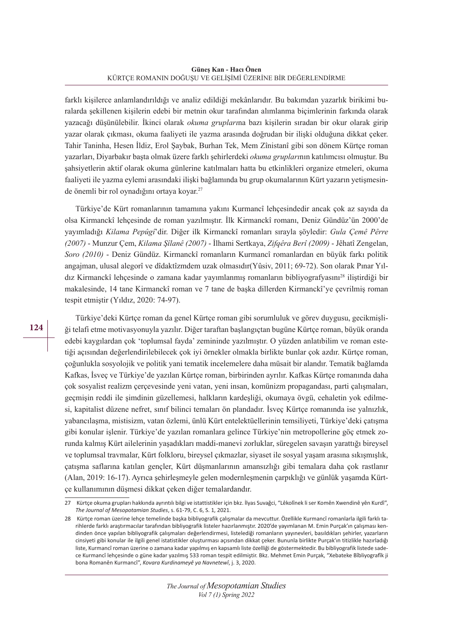farklı kişilerce anlamlandırıldığı ve analiz edildiği mekânlarıdır. Bu bakımdan yazarlık birikimi buralarda şekillenen kişilerin edebi bir metnin okur tarafından alımlanma biçimlerinin farkında olarak yazacağı düşünülebilir. İkinci olarak *okuma grupları*na bazı kişilerin sıradan bir okur olarak girip yazar olarak çıkması, okuma faaliyeti ile yazma arasında doğrudan bir ilişki olduğuna dikkat çeker. Tahir Taninha, Hesen İldiz, Erol Şaybak, Burhan Tek, Mem Zînistanî gibi son dönem Kürtçe roman yazarları, Diyarbakır başta olmak üzere farklı şehirlerdeki *okuma grupları*nın katılımcısı olmuştur. Bu şahsiyetlerin aktif olarak okuma günlerine katılmaları hatta bu etkinlikleri organize etmeleri, okuma faaliyeti ile yazma eylemi arasındaki ilişki bağlamında bu grup okumalarının Kürt yazarın yetişmesinde önemli bir rol oynadığını ortaya koyar.<sup>27</sup>

Türkiye'de Kürt romanlarının tamamına yakını Kurmancî lehçesindedir ancak çok az sayıda da olsa Kirmanckî lehçesinde de roman yazılmıştır. İlk Kirmanckî romanı, Deniz Gündüz'ün 2000'de yayımladığı *Kilama Pepûgî*'dir. Diğer ilk Kirmanckî romanları sırayla şöyledir: *Gula Çemê Pêrre (2007)* - Munzur Çem, *Kilama Şîlanê (2007)* - İlhami Sertkaya, *Zifqêra Berî (2009)* - Jêhatî Zengelan, *Soro (2010)* - Deniz Gündüz. Kirmanckî romanların Kurmancî romanlardan en büyük farkı politik angajman, ulusal alegorî ve dîdaktîzmdem uzak olmasıdır(Yûsiv, 2011; 69-72). Son olarak Pınar Yıldız Kirmanckî lehçesinde o zamana kadar yayımlanmış romanların bibliyografyasını28 iliştirdiği bir makalesinde, 14 tane Kirmanckî roman ve 7 tane de başka dillerden Kirmanckî'ye çevrilmiş roman tespit etmiştir (Yıldız, 2020: 74-97).

Türkiye'deki Kürtçe roman da genel Kürtçe roman gibi sorumluluk ve görev duygusu, gecikmişliği telafi etme motivasyonuyla yazılır. Diğer taraftan başlangıçtan bugüne Kürtçe roman, büyük oranda edebi kaygılardan çok 'toplumsal fayda' zemininde yazılmıştır. O yüzden anlatıbilim ve roman estetiği açısından değerlendirilebilecek çok iyi örnekler olmakla birlikte bunlar çok azdır. Kürtçe roman, çoğunlukla sosyolojik ve politik yani tematik incelemelere daha müsait bir alandır. Tematik bağlamda Kafkas, İsveç ve Türkiye'de yazılan Kürtçe roman, birbirinden ayrılır. Kafkas Kürtçe romanında daha çok sosyalist realizm çerçevesinde yeni vatan, yeni insan, komünizm propagandası, parti çalışmaları, geçmişin reddi ile şimdinin güzellemesi, halkların kardeşliği, okumaya övgü, cehaletin yok edilmesi, kapitalist düzene nefret, sınıf bilinci temaları ön plandadır. İsveç Kürtçe romanında ise yalnızlık, yabancılaşma, mistisizm, vatan özlemi, ünlü Kürt entelektüellerinin temsiliyeti, Türkiye'deki çatışma gibi konular işlenir. Türkiye'de yazılan romanlara gelince Türkiye'nin metropollerine göç etmek zorunda kalmış Kürt ailelerinin yaşadıkları maddi-manevi zorluklar, süregelen savaşın yarattığı bireysel ve toplumsal travmalar, Kürt folkloru, bireysel çıkmazlar, siyaset ile sosyal yaşam arasına sıkışmışlık, çatışma saflarına katılan gençler, Kürt düşmanlarının amansızlığı gibi temalara daha çok rastlanır (Alan, 2019: 16-17). Ayrıca şehirleşmeyle gelen modernleşmenin çarpıklığı ve günlük yaşamda Kürtçe kullanımının düşmesi dikkat çeken diğer temalardandır.

<sup>27</sup> Kürtçe okuma grupları hakkında ayrıntılı bilgi ve istattistikler için bkz. İlyas Suvağci, "Lêkolînek liser Komên Xwendinê yên Kurdî", *The Journal of Mesopotamian Studies*, s. 61-79, C. 6, S. 1, 2021.

<sup>28</sup> Kürtçe roman üzerine lehçe temelinde başka bibliyografik çalışmalar da mevcuttur. Özellikle Kurmancî romanlarla ilgili farklı tarihlerde farklı araştırmacılar tarafından bibliyografik listeler hazırlanmıştır. 2020'de yayımlanan M. Emin Purçak'ın çalışması kendinden önce yapılan bibliyografik çalışmaları değerlendirmesi, listelediği romanların yayınevleri, basıldıkları şehirler, yazarların cinsiyeti gibi konular ile ilgili genel istatistikler oluşturması açısından dikkat çeker. Bununla birlikte Purçak'ın titizlikle hazırladığı liste, Kurmancî roman üzerine o zamana kadar yapılmış en kapsamlı liste özelliği de göstermektedir. Bu bibliyografik listede sadece Kurmancî lehçesinde o güne kadar yazılmış 533 roman tespit edilmiştir. Bkz. Mehmet Emin Purçak, "Xebateke Bîbliyografîk ji bona Romanên Kurmancî", *Kovara Kurdinameyê ya Navnetewî*, j. 3, 2020.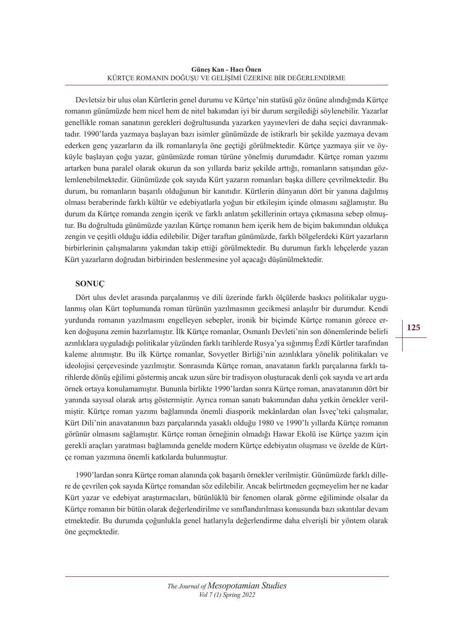Devletsiz bir ulus olan Kürtlerin genel durumu ve Kürtçe'nin statüsü göz önüne alındığında Kürtçe romanın günümüzde hem nicel hem de nitel bakımdan iyi bir durum sergilediği söylenebilir. Yazarlar genellikle roman sanatının gerekleri doğrultusunda yazarken yayınevleri de daha seçici davranmaktadır. 1990'larda yazmaya başlayan bazı isimler günümüzde de istikrarlı bir şekilde yazmaya devam ederken genç yazarların da ilk romanlarıyla öne geçtiği görülmektedir. Kürtçe yazmaya şiir ve öyküyle başlayan çoğu yazar, günümüzde roman türüne yönelmiş durumdadır. Kürtçe roman yazımı artarken buna paralel olarak okurun da son yıllarda bariz şekilde arttığı, romanların satışından gözlemlenebilmektedir. Günümüzde çok sayıda Kürt yazarın romanları başka dillere çevrilmektedir. Bu durum, bu romanların başarılı olduğunun bir kanıtıdır. Kürtlerin dünyanın dört bir yanına dağılmış olması beraberinde farklı kültür ve edebiyatlarla yoğun bir etkileşim içinde olmasını sağlamıştır. Bu durum da Kürtçe romanda zengin içerik ve farklı anlatım şekillerinin ortaya çıkmasına sebep olmuştur. Bu doğrultuda günümüzde yazılan Kürtçe romanın hem içerik hem de biçim bakımından oldukça zengin ve çeşitli olduğu iddia edilebilir. Diğer taraftan günümüzde, farklı bölgelerdeki Kürt yazarların birbirlerinin çalışmalarını yakından takip ettiği görülmektedir. Bu durumun farklı lehçelerde yazan Kürt yazarların doğrudan birbirinden beslenmesine yol açacağı düşünülmektedir.

# **SONUÇ**

Dört ulus devlet arasında parçalanmış ve dili üzerinde farklı ölçülerde baskıcı politikalar uygulanmış olan Kürt toplumunda roman türünün yazılmasının gecikmesi anlaşılır bir durumdur. Kendi yurdunda romanın yazılmasını engelleyen sebepler, ironik bir biçimde Kürtçe romanın görece erken doğuşuna zemin hazırlamıştır. İlk Kürtçe romanlar, Osmanlı Devleti'nin son dönemlerinde belirli azınlıklara uyguladığı politikalar yüzünden farklı tarihlerde Rusya'ya sığınmış Êzdî Kürtler tarafından kaleme alınmıştır. Bu ilk Kürtçe romanlar, Sovyetler Birliği'nin azınlıklara yönelik politikaları ve ideolojisi çerçevesinde yazılmıştır. Sonrasında Kürtçe roman, anavatanın farklı parçalarına farklı tarihlerde dönüş eğilimi göstermiş ancak uzun süre bir tradisyon oluşturacak denli çok sayıda ve art arda örnek ortaya konulamamıştır. Bununla birlikte 1990'lardan sonra Kürtçe roman, anavatanının dört bir yanında sayısal olarak artış göstermiştir. Ayrıca roman sanatı bakımından daha yetkin örnekler verilmiştir. Kürtçe roman yazımı bağlamında önemli diasporik mekânlardan olan İsveç'teki çalışmalar, Kürt Dili'nin anavatanının bazı parçalarında yasaklı olduğu 1980 ve 1990'lı yıllarda Kürtçe romanın görünür olmasını sağlamıştır. Kürtçe roman örneğinin olmadığı Hawar Ekolü ise Kürtçe yazım için gerekli araçları yaratması bağlamında genelde modern Kürtçe edebiyatın oluşması ve özelde de Kürtçe roman yazımına önemli katkılarda bulunmuştur.

1990'lardan sonra Kürtçe roman alanında çok başarılı örnekler verilmiştir. Günümüzde farklı dillere de çevrilen çok sayıda Kürtçe romandan söz edilebilir. Ancak belirtmeden geçmeyelim her ne kadar Kürt yazar ve edebiyat araştırmacıları, bütünlüklü bir fenomen olarak görme eğiliminde olsalar da Kürtçe romanın bir bütün olarak değerlendirilme ve sınıflandırılması konusunda bazı sıkıntılar devam etmektedir. Bu durumda çoğunlukla genel hatlarıyla değerlendirme daha elverişli bir yöntem olarak öne geçmektedir.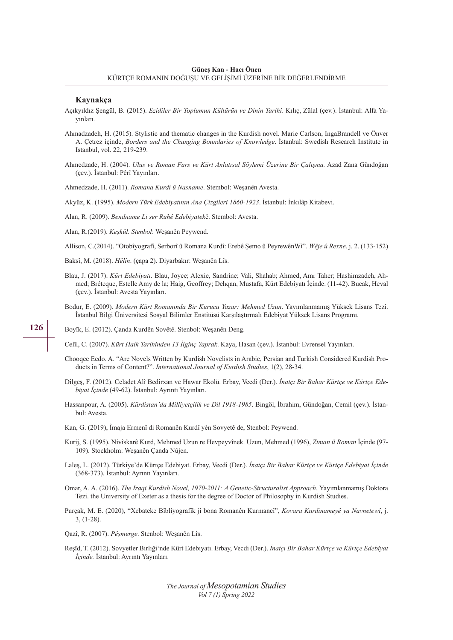#### **Kaynakça**

- Açıkyıldız Şengül, B. (2015). *Ezidiler Bir Toplumun Kültürün ve Dinin Tarihi*. Kılıç, Zülal (çev.). İstanbul: Alfa Yayınları.
- Ahmadzadeh, H. (2015). Stylistic and thematic changes in the Kurdish novel. Marie Carlson, IngaBrandell ve Önver A. Çetrez içinde, *Borders and the Changing Boundaries of Knowledge*. İstanbul: Swedish Research Institute in Istanbul, vol. 22, 219-239.
- Ahmedzade, H. (2004). *Ulus ve Roman Fars ve Kürt Anlatısal Söylemi Üzerine Bir Çalışma.* Azad Zana Gündoğan (çev.). İstanbul: Pêrî Yayınları.
- Ahmedzade, H. (2011). *Romana Kurdî û Nasname*. Stembol: Weşanên Avesta.

Akyüz, K. (1995). *Modern Türk Edebiyatının Ana Çizgileri 1860-1923*. İstanbul: İnkılâp Kitabevi.

Alan, R. (2009). *Bendname Li ser Ruhê Edebiyatek*ê. Stembol: Avesta.

Alan, R.(2019). *Keşkûl. Stenbol*: Weşanên Peywend.

Allison, C.(2014). "Otobîyografî, Serborî û Romana Kurdî: Erebê Şemo û PeyrewênWî". *Wêje û Rexne*. j. 2. (133-152)

- Baksî, M. (2018). *Hêlîn*. (çapa 2). Diyarbakır: Weşanên Lîs.
- Blau, J. (2017). *Kürt Edebiyatı*. Blau, Joyce; Alexie, Sandrine; Vali, Shahab; Ahmed, Amr Taher; Hashimzadeh, Ahmed; Bréteque, Estelle Amy de la; Haig, Geoffrey; Dehqan, Mustafa, Kürt Edebiyatı İçinde. (11-42). Bucak, Heval (çev.). İstanbul: Avesta Yayınları.
- Bodur, E. (2009). *Modern Kürt Romanında Bir Kurucu Yazar: Mehmed Uzun*. Yayımlanmamış Yüksek Lisans Tezi. İstanbul Bilgi Üniversitesi Sosyal Bilimler Enstitüsü Karşılaştırmalı Edebiyat Yüksek Lisans Programı.

Boyîk, E. (2012). Çanda Kurdên Sovêtê. Stenbol: Weşanên Deng.

Celîl, C. (2007). *Kürt Halk Tarihinden 13 İlginç Yaprak*. Kaya, Hasan (çev.). İstanbul: Evrensel Yayınları.

- Chooqee Eedo. A. "Are Novels Written by Kurdish Novelists in Arabic, Persian and Turkish Considered Kurdish Products in Terms of Content?". *International Journal of Kurdish Studies*, 1(2), 28-34.
- Dilgeş, F. (2012). Celadet Alî Bedirxan ve Hawar Ekolü. Erbay, Vecdi (Der.). *İnatçı Bir Bahar Kürtçe ve Kürtçe Edebiyat İçinde* (49-62). İstanbul: Ayrıntı Yayınları.
- Hassanpour, A. (2005). *Kürdistan'da Milliyetçilik ve Dil 1918-1985*. Bingöl, İbrahim, Gündoğan, Cemil (çev.). İstanbul: Avesta.
- Kan, G. (2019), Îmaja Ermenî di Romanên Kurdî yên Sovyetê de, Stenbol: Peywend.
- Kurij, S. (1995). Nivîskarê Kurd, Mehmed Uzun re Hevpeyvînek. Uzun, Mehmed (1996), *Ziman û Roman* İçinde (97- 109). Stockholm: Weşanên Çanda Nûjen.
- Laleş, L. (2012). Türkiye'de Kürtçe Edebiyat. Erbay, Vecdi (Der.). *İnatçı Bir Bahar Kürtçe ve Kürtçe Edebiyat İçinde*  (368-373). İstanbul: Ayrıntı Yayınları.
- Omar, A. A. (2016). *The Iraqi Kurdish Novel, 1970-2011: A Genetic-Structuralist Approach.* Yayımlanmamış Doktora Tezi. the University of Exeter as a thesis for the degree of Doctor of Philosophy in Kurdish Studies.
- Purçak, M. E. (2020), "Xebateke Bîbliyografîk ji bona Romanên Kurmancî", *Kovara Kurdinameyê ya Navnetewî*, j. 3, (1-28).
- Qazî, R. (2007). *Pêşmerge*. Stenbol: Weşanên Lîs.
- Reşîd, T. (2012). Sovyetler Birliği'nde Kürt Edebiyatı. Erbay, Vecdi (Der.). *İnatçı Bir Bahar Kürtçe ve Kürtçe Edebiyat İçinde.* İstanbul: Ayrıntı Yayınları.

**126**